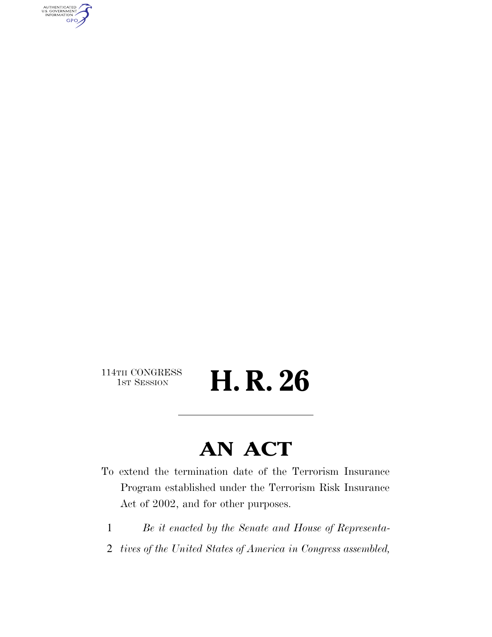AUTHENTICATED<br>U.S. GOVERNMENT<br>INFORMATION **GPO** 

114TH CONGRESS<br>1st Session

H. R. 26

# **AN ACT**

To extend the termination date of the Terrorism Insurance Program established under the Terrorism Risk Insurance Act of 2002, and for other purposes.

- 1 *Be it enacted by the Senate and House of Representa-*
- 2 *tives of the United States of America in Congress assembled,*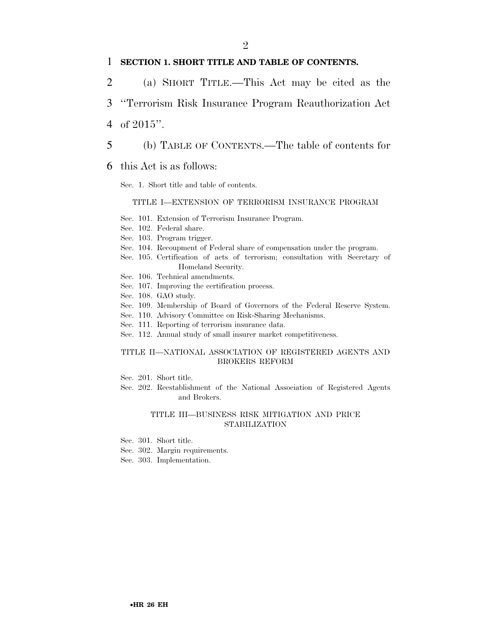#### 1 **SECTION 1. SHORT TITLE AND TABLE OF CONTENTS.**

- 2 (a) SHORT TITLE.—This Act may be cited as the
- 3 ''Terrorism Risk Insurance Program Reauthorization Act
- 4 of 2015''.
- 5 (b) TABLE OF CONTENTS.—The table of contents for
- 6 this Act is as follows:

Sec. 1. Short title and table of contents.

#### TITLE I—EXTENSION OF TERRORISM INSURANCE PROGRAM

- Sec. 101. Extension of Terrorism Insurance Program.
- Sec. 102. Federal share.
- Sec. 103. Program trigger.
- Sec. 104. Recoupment of Federal share of compensation under the program.
- Sec. 105. Certification of acts of terrorism; consultation with Secretary of Homeland Security.
- Sec. 106. Technical amendments.
- Sec. 107. Improving the certification process.
- Sec. 108. GAO study.
- Sec. 109. Membership of Board of Governors of the Federal Reserve System.
- Sec. 110. Advisory Committee on Risk-Sharing Mechanisms.
- Sec. 111. Reporting of terrorism insurance data.
- Sec. 112. Annual study of small insurer market competitiveness.

#### TITLE II—NATIONAL ASSOCIATION OF REGISTERED AGENTS AND BROKERS REFORM

- Sec. 201. Short title.
- Sec. 202. Reestablishment of the National Association of Registered Agents and Brokers.

#### TITLE III—BUSINESS RISK MITIGATION AND PRICE STABILIZATION

- Sec. 301. Short title.
- Sec. 302. Margin requirements.
- Sec. 303. Implementation.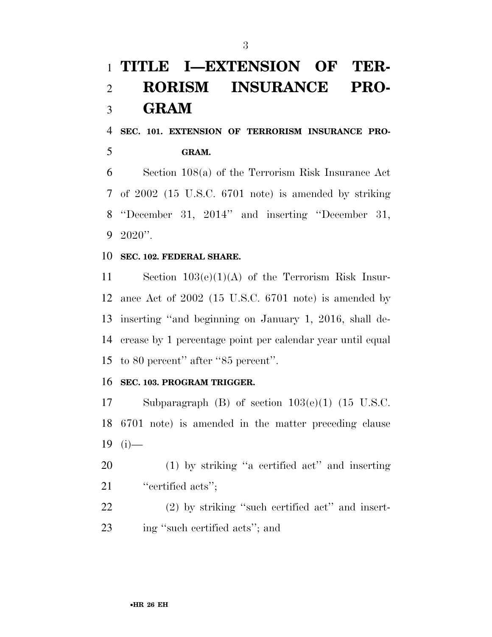## **TITLE I—EXTENSION OF TER- RORISM INSURANCE PRO-GRAM**

 **SEC. 101. EXTENSION OF TERRORISM INSURANCE PRO-GRAM.** 

 Section 108(a) of the Terrorism Risk Insurance Act of 2002 (15 U.S.C. 6701 note) is amended by striking ''December 31, 2014'' and inserting ''December 31, 2020''.

#### **SEC. 102. FEDERAL SHARE.**

 Section 103(e)(1)(A) of the Terrorism Risk Insur- ance Act of 2002 (15 U.S.C. 6701 note) is amended by inserting ''and beginning on January 1, 2016, shall de- crease by 1 percentage point per calendar year until equal to 80 percent'' after ''85 percent''.

#### **SEC. 103. PROGRAM TRIGGER.**

 Subparagraph (B) of section 103(e)(1) (15 U.S.C. 6701 note) is amended in the matter preceding clause 19 (i)—

 (1) by striking ''a certified act'' and inserting 21 "eertified acts";

 (2) by striking ''such certified act'' and insert-ing ''such certified acts''; and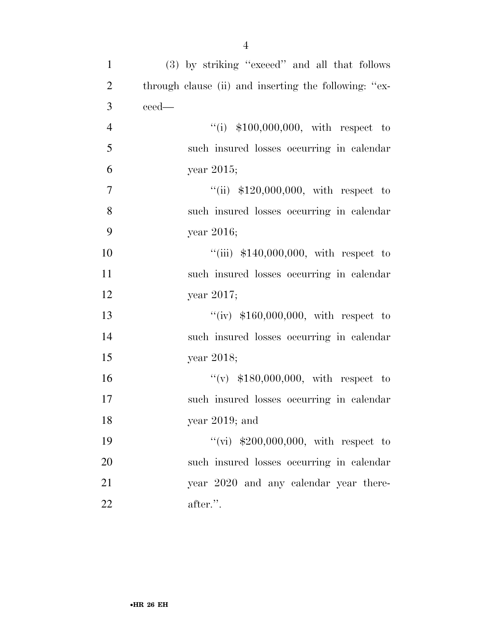| $\mathbf{1}$   | (3) by striking "exceed" and all that follows         |
|----------------|-------------------------------------------------------|
| $\overline{2}$ | through clause (ii) and inserting the following: "ex- |
| 3              | ceed—                                                 |
| $\overline{4}$ | "(i) $$100,000,000$ , with respect to                 |
| 5              | such insured losses occurring in calendar             |
| 6              | year $2015$ ;                                         |
| $\tau$         | "(ii) $$120,000,000$ , with respect to                |
| 8              | such insured losses occurring in calendar             |
| 9              | year 2016;                                            |
| 10             | "(iii) $$140,000,000$ , with respect to               |
| 11             | such insured losses occurring in calendar             |
| 12             | year 2017;                                            |
| 13             | "(iv) $$160,000,000$ , with respect to                |
| 14             | such insured losses occurring in calendar             |
| 15             | year 2018;                                            |
| 16             | "(v) $$180,000,000$ , with respect to                 |
| 17             | such insured losses occurring in calendar             |
| 18             | year $2019$ ; and                                     |
| 19             | "(vi) $$200,000,000$ , with respect to                |
| 20             | such insured losses occurring in calendar             |
| 21             | year 2020 and any calendar year there-                |
| 22             | after.".                                              |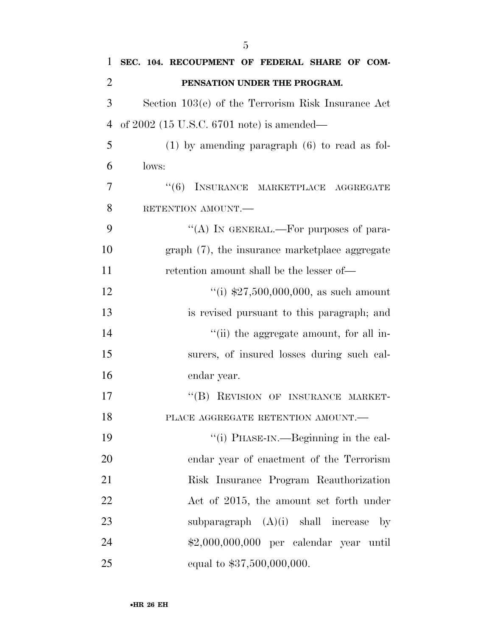| 1              | SEC. 104. RECOUPMENT OF FEDERAL SHARE OF COM-        |
|----------------|------------------------------------------------------|
| $\overline{2}$ | PENSATION UNDER THE PROGRAM.                         |
| 3              | Section 103(e) of the Terrorism Risk Insurance Act   |
| $\overline{4}$ | of $2002$ (15 U.S.C. 6701 note) is amended—          |
| 5              | $(1)$ by amending paragraph $(6)$ to read as fol-    |
| 6              | lows:                                                |
| 7              | "(6) INSURANCE MARKETPLACE AGGREGATE                 |
| 8              | RETENTION AMOUNT.                                    |
| 9              | "(A) IN GENERAL.—For purposes of para-               |
| 10             | graph (7), the insurance marketplace aggregate       |
| 11             | retention amount shall be the lesser of—             |
| 12             | "(i) $$27,500,000,000$ , as such amount              |
| 13             | is revised pursuant to this paragraph; and           |
| 14             | "(ii) the aggregate amount, for all in-              |
| 15             | surers, of insured losses during such cal-           |
| 16             | endar year.                                          |
| 17             | "(B) REVISION OF INSURANCE MARKET-                   |
| 18             | PLACE AGGREGATE RETENTION AMOUNT.                    |
| 19             | "(i) PHASE-IN.—Beginning in the cal-                 |
| 20             | endar year of enactment of the Terrorism             |
| 21             | Risk Insurance Program Reauthorization               |
| 22             | Act of 2015, the amount set forth under              |
| 23             | subparagraph $(A)(i)$ shall increase<br>$\mathbf{b}$ |
| 24             | \$2,000,000,000 per calendar year until              |
| 25             | equal to \$37,500,000,000.                           |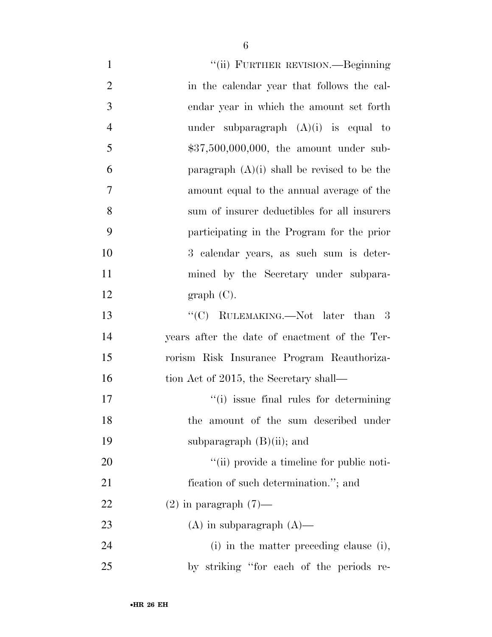| $\mathbf{1}$   | "(ii) FURTHER REVISION.—Beginning             |
|----------------|-----------------------------------------------|
| $\overline{2}$ | in the calendar year that follows the cal-    |
| 3              | endar year in which the amount set forth      |
| $\overline{4}$ | under subparagraph $(A)(i)$ is equal to       |
| 5              | $$37,500,000,000$ , the amount under sub-     |
| 6              | paragraph $(A)(i)$ shall be revised to be the |
| 7              | amount equal to the annual average of the     |
| 8              | sum of insurer deductibles for all insurers   |
| 9              | participating in the Program for the prior    |
| 10             | 3 calendar years, as such sum is deter-       |
| 11             | mined by the Secretary under subpara-         |
| 12             | graph(C).                                     |
| 13             | "(C) RULEMAKING.—Not later than $3$           |
| 14             | years after the date of enactment of the Ter- |
| 15             | rorism Risk Insurance Program Reauthoriza-    |
| 16             | tion Act of 2015, the Secretary shall—        |
| 17             | "(i) issue final rules for determining        |
| 18             | the amount of the sum described under         |
| 19             | subparagraph $(B)(ii)$ ; and                  |
| 20             | "(ii) provide a timeline for public noti-     |
| 21             | fication of such determination."; and         |
| 22             | $(2)$ in paragraph $(7)$ —                    |
| 23             | $(A)$ in subparagraph $(A)$ —                 |
| 24             | (i) in the matter preceding clause (i),       |
| 25             | by striking "for each of the periods re-      |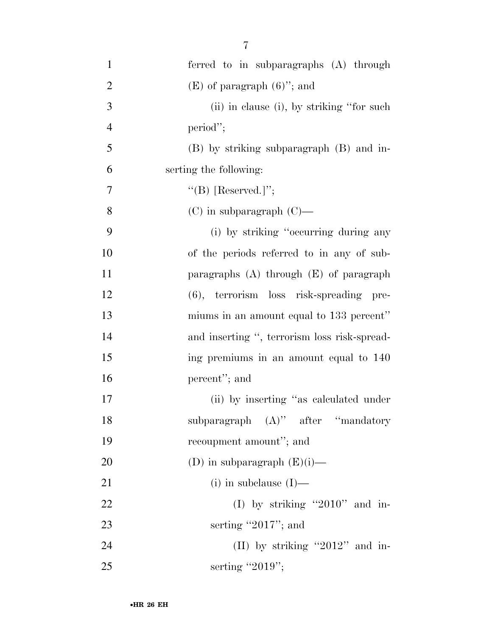| $\mathbf{1}$   | ferred to in subparagraphs (A) through       |
|----------------|----------------------------------------------|
| $\overline{2}$ | $(E)$ of paragraph $(6)$ "; and              |
| $\mathfrak{Z}$ | (ii) in clause (i), by striking "for such    |
| $\overline{4}$ | period";                                     |
| 5              | (B) by striking subparagraph (B) and in-     |
| 6              | serting the following:                       |
| 7              | "(B) [Reserved.]";                           |
| 8              | $(C)$ in subparagraph $(C)$ —                |
| 9              | (i) by striking "occurring during any        |
| 10             | of the periods referred to in any of sub-    |
| 11             | paragraphs $(A)$ through $(E)$ of paragraph  |
| 12             | (6), terrorism loss risk-spreading pre-      |
| 13             | miums in an amount equal to 133 percent"     |
| 14             | and inserting ", terrorism loss risk-spread- |
| 15             | ing premiums in an amount equal to 140       |
| 16             | percent"; and                                |
| 17             | (ii) by inserting "as calculated under       |
| 18             | subparagraph $(A)$ " after "mandatory        |
| 19             | recoupment amount"; and                      |
| 20             | (D) in subparagraph $(E)(i)$ —               |
| 21             | $(i)$ in subclause $(I)$ —                   |
| 22             | (I) by striking "2010" and in-               |
| 23             | serting "2017"; and                          |
| 24             | (II) by striking "2012" and in-              |
| 25             | serting "2019";                              |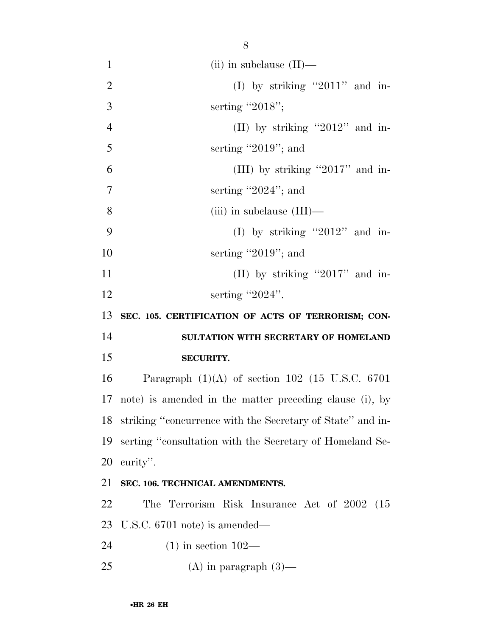| $\mathbf{1}$   | (ii) in subclause $(II)$ —                                 |
|----------------|------------------------------------------------------------|
| $\overline{2}$ | (I) by striking "2011" and in-                             |
| 3              | serting "2018";                                            |
| $\overline{4}$ | (II) by striking "2012" and in-                            |
| 5              | serting "2019"; and                                        |
| 6              | (III) by striking "2017" and in-                           |
| $\overline{7}$ | serting "2024"; and                                        |
| 8              | $(iii)$ in subclause $(III)$ —                             |
| 9              | (I) by striking "2012" and in-                             |
| 10             | serting "2019"; and                                        |
| 11             | (II) by striking "2017" and in-                            |
| 12             | serting " $2024$ ".                                        |
| 13             | SEC. 105. CERTIFICATION OF ACTS OF TERRORISM; CON-         |
| 14             | SULTATION WITH SECRETARY OF HOMELAND                       |
| 15             | <b>SECURITY.</b>                                           |
| 16             | Paragraph $(1)(A)$ of section 102 (15 U.S.C. 6701)         |
|                | 17 note) is amended in the matter preceding clause (i), by |
| 18             | striking "concurrence with the Secretary of State" and in- |
| 19             | serting "consultation with the Secretary of Homeland Se-   |
| 20             | curity".                                                   |
| 21             | SEC. 106. TECHNICAL AMENDMENTS.                            |
| 22             | The Terrorism Risk Insurance Act of 2002 (15               |
| 23             | U.S.C. $6701$ note) is amended—                            |
| 24             | $(1)$ in section $102-$                                    |
| 25             | $(A)$ in paragraph $(3)$ —                                 |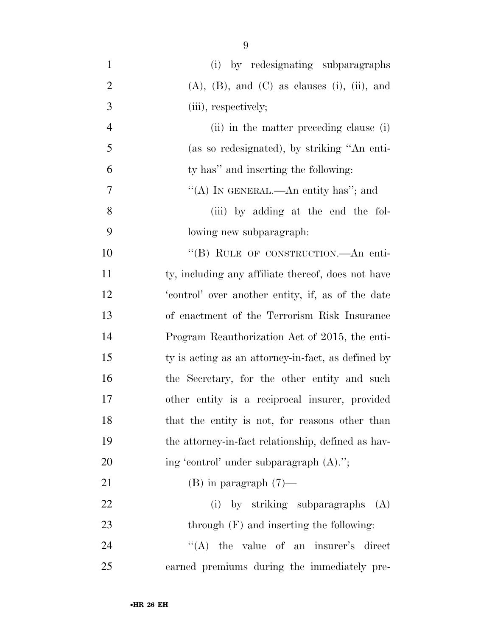| $\mathbf{1}$   | (i) by redesignating subparagraphs                        |
|----------------|-----------------------------------------------------------|
| $\overline{2}$ | $(A)$ , $(B)$ , and $(C)$ as clauses $(i)$ , $(ii)$ , and |
| 3              | (iii), respectively;                                      |
| $\overline{4}$ | (ii) in the matter preceding clause (i)                   |
| 5              | (as so redesignated), by striking "An enti-               |
| 6              | ty has" and inserting the following:                      |
| 7              | "(A) IN GENERAL.—An entity has"; and                      |
| 8              | (iii) by adding at the end the fol-                       |
| 9              | lowing new subparagraph.                                  |
| 10             | "(B) RULE OF CONSTRUCTION.—An enti-                       |
| 11             | ty, including any affiliate thereof, does not have        |
| 12             | 'control' over another entity, if, as of the date         |
| 13             | of enactment of the Terrorism Risk Insurance              |
| 14             | Program Reauthorization Act of 2015, the enti-            |
| 15             | ty is acting as an attorney-in-fact, as defined by        |
| 16             | the Secretary, for the other entity and such              |
| $17\,$         | other entity is a reciprocal insurer, provided            |
| 18             | that the entity is not, for reasons other than            |
| 19             | the attorney-in-fact relationship, defined as hav-        |
| 20             | ing 'control' under subparagraph (A).";                   |
| 21             | $(B)$ in paragraph $(7)$ —                                |
| 22             | (i) by striking subparagraphs (A)                         |
| 23             | through $(F)$ and inserting the following:                |
| 24             | $\lq\lq$ the value of an insurer's direct                 |
| 25             | earned premiums during the immediately pre-               |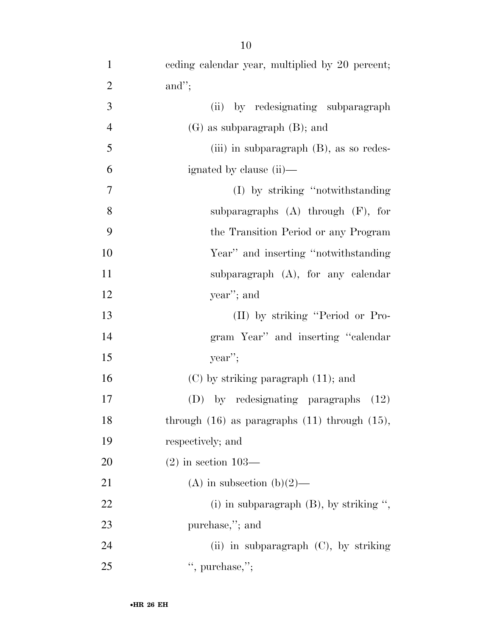| $\mathbf{1}$   | eeding calendar year, multiplied by 20 percent;      |
|----------------|------------------------------------------------------|
| $\overline{2}$ | and";                                                |
| 3              | by redesignating subparagraph<br>(ii)                |
| $\overline{4}$ | $(G)$ as subparagraph $(B)$ ; and                    |
| 5              | (iii) in subparagraph $(B)$ , as so redes-           |
| 6              | ignated by clause (ii)—                              |
| $\tau$         | (I) by striking "notwithstanding"                    |
| 8              | subparagraphs $(A)$ through $(F)$ , for              |
| 9              | the Transition Period or any Program                 |
| 10             | Year" and inserting "notwithstanding"                |
| 11             | subparagraph $(A)$ , for any calendar                |
| 12             | year"; and                                           |
| 13             | (II) by striking "Period or Pro-                     |
| 14             | gram Year" and inserting "calendar"                  |
| 15             | year                                                 |
| 16             | $(C)$ by striking paragraph $(11)$ ; and             |
| 17             | (D) by redesignating paragraphs<br>(12)              |
| 18             | through $(16)$ as paragraphs $(11)$ through $(15)$ , |
| 19             | respectively; and                                    |
| 20             | $(2)$ in section 103—                                |

•**HR 26 EH**

21 (A) in subsection (b)(2)—

23 purchase,"; and

25 ", purchase,";

22 (i) in subparagraph (B), by striking ",

(ii) in subparagraph (C), by striking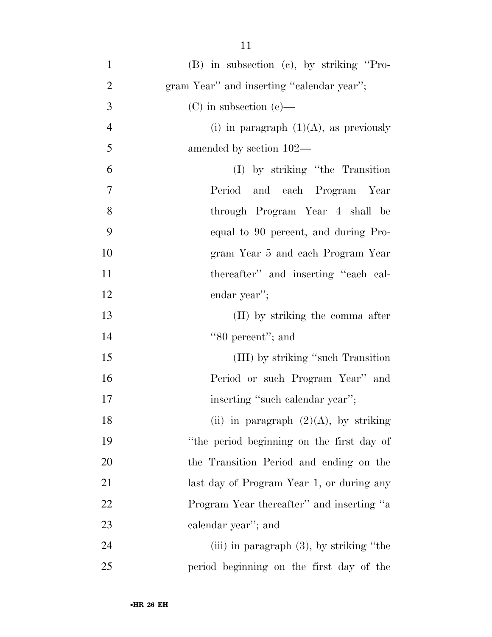| $\mathbf{1}$   | $(B)$ in subsection $(c)$ , by striking "Pro- |
|----------------|-----------------------------------------------|
| $\overline{2}$ | gram Year" and inserting "calendar year";     |
| 3              | $(C)$ in subsection $(e)$ —                   |
| $\overline{4}$ | (i) in paragraph $(1)(A)$ , as previously     |
| 5              | amended by section 102—                       |
| 6              | (I) by striking "the Transition               |
| $\tau$         | Period and each Program Year                  |
| 8              | through Program Year 4 shall be               |
| 9              | equal to 90 percent, and during Pro-          |
| 10             | gram Year 5 and each Program Year             |
| 11             | thereafter" and inserting "each cal-          |
| 12             | endar year";                                  |
| 13             | (II) by striking the comma after              |
| 14             | "80 percent"; and                             |
| 15             | (III) by striking "such Transition            |
| 16             | Period or such Program Year" and              |
| $17\,$         | inserting "such calendar year";               |
| 18             | (ii) in paragraph $(2)(A)$ , by striking      |
| 19             | "the period beginning on the first day of     |
| 20             | the Transition Period and ending on the       |
| 21             | last day of Program Year 1, or during any     |
| 22             | Program Year thereafter" and inserting "a     |
| 23             | calendar year"; and                           |
| 24             | (iii) in paragraph $(3)$ , by striking "the   |
| 25             | period beginning on the first day of the      |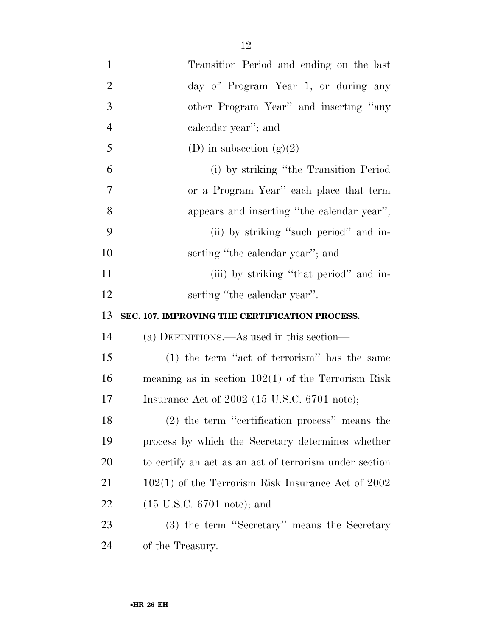| $\mathbf{1}$   | Transition Period and ending on the last               |
|----------------|--------------------------------------------------------|
| $\overline{2}$ | day of Program Year 1, or during any                   |
| 3              | other Program Year" and inserting "any                 |
| $\overline{4}$ | calendar year"; and                                    |
| 5              | (D) in subsection $(g)(2)$ —                           |
| 6              | (i) by striking "the Transition Period                 |
| 7              | or a Program Year" each place that term                |
| 8              | appears and inserting "the calendar year";             |
| 9              | (ii) by striking "such period" and in-                 |
| 10             | serting "the calendar year"; and                       |
| 11             | (iii) by striking "that period" and in-                |
| 12             | serting "the calendar year".                           |
|                |                                                        |
| 13             | SEC. 107. IMPROVING THE CERTIFICATION PROCESS.         |
| 14             | (a) DEFINITIONS.—As used in this section—              |
| 15             | $(1)$ the term "act of terrorism" has the same         |
| 16             | meaning as in section $102(1)$ of the Terrorism Risk   |
| 17             | Insurance Act of $2002$ (15 U.S.C. 6701 note);         |
| 18             | $(2)$ the term "certification process" means the       |
| 19             | process by which the Secretary determines whether      |
| <b>20</b>      | to certify an act as an act of terrorism under section |
| 21             | $102(1)$ of the Terrorism Risk Insurance Act of 2002   |
| 22             | $(15 \text{ U.S.C. } 6701 \text{ note})$ ; and         |
| 23             | (3) the term "Secretary" means the Secretary           |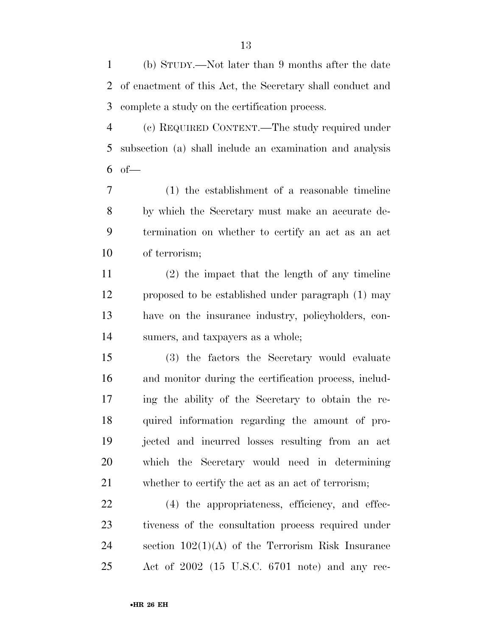(b) STUDY.—Not later than 9 months after the date of enactment of this Act, the Secretary shall conduct and complete a study on the certification process.

 (c) REQUIRED CONTENT.—The study required under subsection (a) shall include an examination and analysis of—

 (1) the establishment of a reasonable timeline by which the Secretary must make an accurate de- termination on whether to certify an act as an act of terrorism;

 (2) the impact that the length of any timeline proposed to be established under paragraph (1) may have on the insurance industry, policyholders, con-sumers, and taxpayers as a whole;

 (3) the factors the Secretary would evaluate and monitor during the certification process, includ- ing the ability of the Secretary to obtain the re- quired information regarding the amount of pro- jected and incurred losses resulting from an act which the Secretary would need in determining whether to certify the act as an act of terrorism;

 (4) the appropriateness, efficiency, and effec- tiveness of the consultation process required under section 102(1)(A) of the Terrorism Risk Insurance Act of 2002 (15 U.S.C. 6701 note) and any rec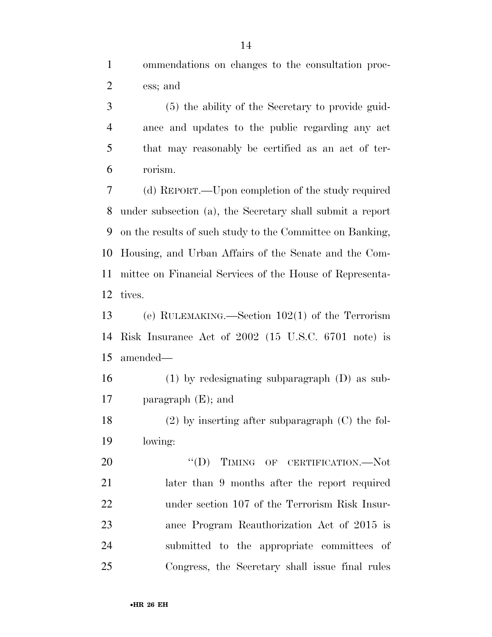ommendations on changes to the consultation proc-ess; and

 (5) the ability of the Secretary to provide guid- ance and updates to the public regarding any act that may reasonably be certified as an act of ter-rorism.

 (d) REPORT.—Upon completion of the study required under subsection (a), the Secretary shall submit a report on the results of such study to the Committee on Banking, Housing, and Urban Affairs of the Senate and the Com- mittee on Financial Services of the House of Representa-tives.

 (e) RULEMAKING.—Section 102(1) of the Terrorism Risk Insurance Act of 2002 (15 U.S.C. 6701 note) is amended—

 (1) by redesignating subparagraph (D) as sub-paragraph (E); and

 (2) by inserting after subparagraph (C) the fol-lowing:

20 "(D) TIMING OF CERTIFICATION.—Not later than 9 months after the report required under section 107 of the Terrorism Risk Insur- ance Program Reauthorization Act of 2015 is submitted to the appropriate committees of Congress, the Secretary shall issue final rules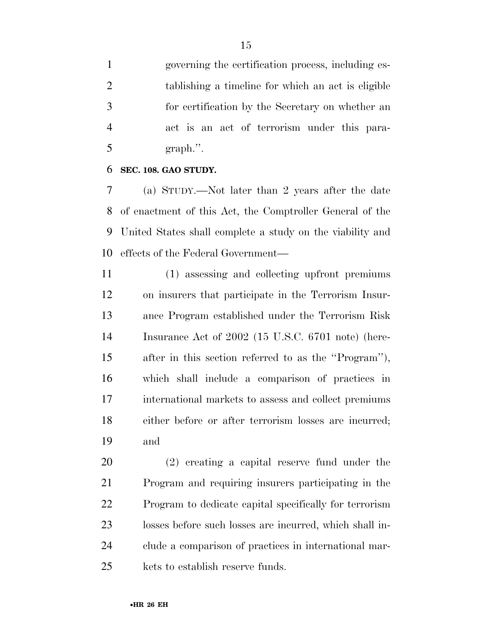governing the certification process, including es- tablishing a timeline for which an act is eligible for certification by the Secretary on whether an act is an act of terrorism under this para-graph.''.

#### **SEC. 108. GAO STUDY.**

 (a) STUDY.—Not later than 2 years after the date of enactment of this Act, the Comptroller General of the United States shall complete a study on the viability and effects of the Federal Government—

 (1) assessing and collecting upfront premiums on insurers that participate in the Terrorism Insur- ance Program established under the Terrorism Risk Insurance Act of 2002 (15 U.S.C. 6701 note) (here- after in this section referred to as the ''Program''), which shall include a comparison of practices in international markets to assess and collect premiums either before or after terrorism losses are incurred; and

 (2) creating a capital reserve fund under the Program and requiring insurers participating in the Program to dedicate capital specifically for terrorism losses before such losses are incurred, which shall in- clude a comparison of practices in international mar-kets to establish reserve funds.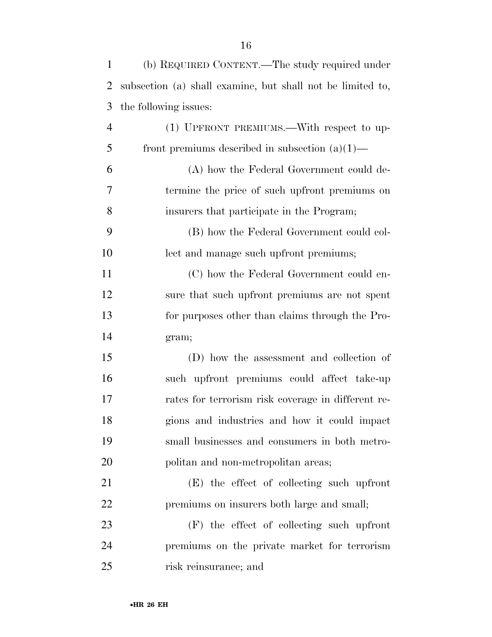| $\mathbf{1}$   | (b) REQUIRED CONTENT.—The study required under             |
|----------------|------------------------------------------------------------|
| $\overline{2}$ | subsection (a) shall examine, but shall not be limited to, |
| 3              | the following issues:                                      |
| $\overline{4}$ | (1) UPFRONT PREMIUMS.—With respect to up-                  |
| 5              | front premiums described in subsection $(a)(1)$ —          |
| 6              | (A) how the Federal Government could de-                   |
| 7              | termine the price of such upfront premiums on              |
| 8              | insurers that participate in the Program;                  |
| 9              | (B) how the Federal Government could col-                  |
| 10             | lect and manage such upfront premiums;                     |
| 11             | (C) how the Federal Government could en-                   |
| 12             | sure that such upfront premiums are not spent              |
| 13             | for purposes other than claims through the Pro-            |
| 14             | gram;                                                      |
| 15             | (D) how the assessment and collection of                   |
| 16             | such upfront premiums could affect take-up                 |
| 17             | rates for terrorism risk coverage in different re-         |
| 18             | gions and industries and how it could impact               |
| 19             | small businesses and consumers in both metro-              |
| 20             | politan and non-metropolitan areas;                        |
| 21             | (E) the effect of collecting such upfront                  |
| 22             | premiums on insurers both large and small;                 |
| 23             | $(F)$ the effect of collecting such upfront                |
| 24             | premiums on the private market for terrorism               |
| 25             | risk reinsurance; and                                      |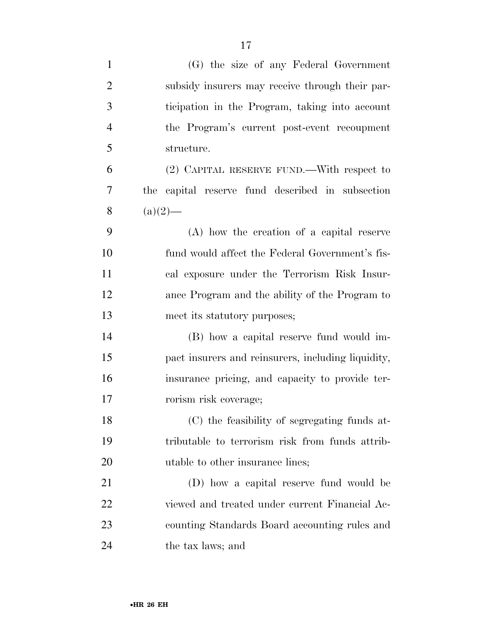| $\mathbf{1}$   | (G) the size of any Federal Government              |
|----------------|-----------------------------------------------------|
| $\overline{2}$ | subsidy insurers may receive through their par-     |
| 3              | ticipation in the Program, taking into account      |
| $\overline{4}$ | the Program's current post-event recoupment         |
| 5              | structure.                                          |
| 6              | (2) CAPITAL RESERVE FUND.—With respect to           |
| 7              | capital reserve fund described in subsection<br>the |
| 8              | $(a)(2)$ —                                          |
| 9              | (A) how the creation of a capital reserve           |
| 10             | fund would affect the Federal Government's fis-     |
| 11             | cal exposure under the Terrorism Risk Insur-        |
| 12             | ance Program and the ability of the Program to      |
| 13             | meet its statutory purposes;                        |
| 14             | (B) how a capital reserve fund would im-            |
| 15             | pact insurers and reinsurers, including liquidity,  |
| 16             | insurance pricing, and capacity to provide ter-     |
| 17             | rorism risk coverage;                               |
| 18             | (C) the feasibility of segregating funds at-        |
| 19             | tributable to terrorism risk from funds attrib-     |
| 20             | utable to other insurance lines;                    |
| 21             | (D) how a capital reserve fund would be             |
| 22             | viewed and treated under current Financial Ac-      |
| 23             | counting Standards Board accounting rules and       |
| 24             | the tax laws; and                                   |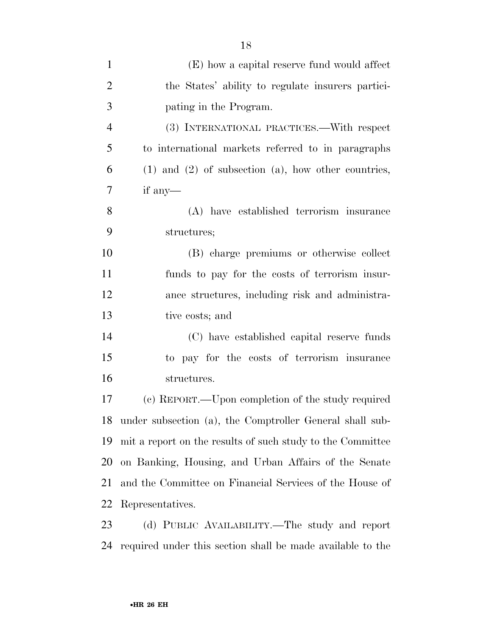| $\mathbf{1}$   | (E) how a capital reserve fund would affect                 |
|----------------|-------------------------------------------------------------|
| $\overline{2}$ | the States' ability to regulate insurers partici-           |
| 3              | pating in the Program.                                      |
| $\overline{4}$ | (3) INTERNATIONAL PRACTICES.—With respect                   |
| 5              | to international markets referred to in paragraphs          |
| 6              | $(1)$ and $(2)$ of subsection $(a)$ , how other countries,  |
| 7              | if any-                                                     |
| 8              | (A) have established terrorism insurance                    |
| 9              | structures;                                                 |
| 10             | (B) charge premiums or otherwise collect                    |
| 11             | funds to pay for the costs of terrorism insur-              |
| 12             | ance structures, including risk and administra-             |
| 13             | tive costs; and                                             |
| 14             | (C) have established capital reserve funds                  |
| 15             | to pay for the costs of terrorism insurance                 |
| 16             | structures.                                                 |
| 17             | (c) REPORT.—Upon completion of the study required           |
|                | 18 under subsection (a), the Comptroller General shall sub- |
| 19             | mit a report on the results of such study to the Committee  |
| 20             | on Banking, Housing, and Urban Affairs of the Senate        |
| 21             | and the Committee on Financial Services of the House of     |
| 22             | Representatives.                                            |
| 23             | (d) PUBLIC AVAILABILITY.—The study and report               |

required under this section shall be made available to the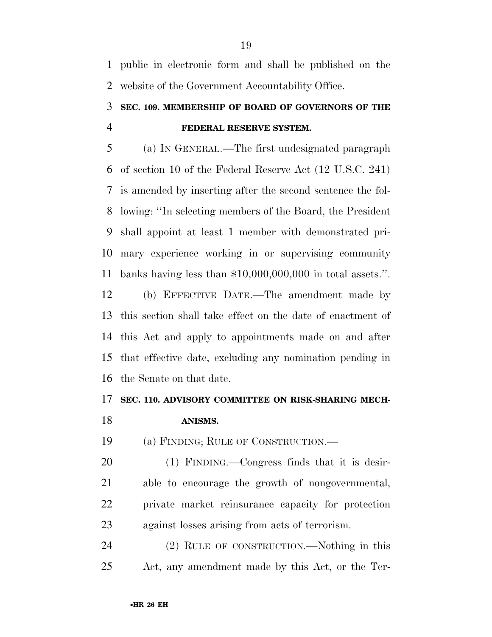public in electronic form and shall be published on the website of the Government Accountability Office.

### **SEC. 109. MEMBERSHIP OF BOARD OF GOVERNORS OF THE FEDERAL RESERVE SYSTEM.**

 (a) IN GENERAL.—The first undesignated paragraph of section 10 of the Federal Reserve Act (12 U.S.C. 241) is amended by inserting after the second sentence the fol- lowing: ''In selecting members of the Board, the President shall appoint at least 1 member with demonstrated pri- mary experience working in or supervising community banks having less than \$10,000,000,000 in total assets.''.

 (b) EFFECTIVE DATE.—The amendment made by this section shall take effect on the date of enactment of this Act and apply to appointments made on and after that effective date, excluding any nomination pending in the Senate on that date.

#### **SEC. 110. ADVISORY COMMITTEE ON RISK-SHARING MECH-**

#### **ANISMS.**

(a) FINDING; RULE OF CONSTRUCTION.—

 (1) FINDING.—Congress finds that it is desir- able to encourage the growth of nongovernmental, private market reinsurance capacity for protection against losses arising from acts of terrorism.

 (2) RULE OF CONSTRUCTION.—Nothing in this Act, any amendment made by this Act, or the Ter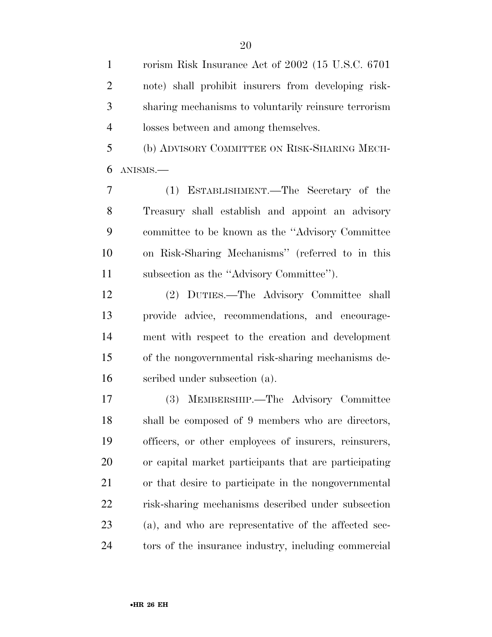rorism Risk Insurance Act of 2002 (15 U.S.C. 6701 note) shall prohibit insurers from developing risk- sharing mechanisms to voluntarily reinsure terrorism losses between and among themselves.

 (b) ADVISORY COMMITTEE ON RISK-SHARING MECH-ANISMS.—

 (1) ESTABLISHMENT.—The Secretary of the Treasury shall establish and appoint an advisory committee to be known as the ''Advisory Committee on Risk-Sharing Mechanisms'' (referred to in this subsection as the ''Advisory Committee'').

 (2) DUTIES.—The Advisory Committee shall provide advice, recommendations, and encourage- ment with respect to the creation and development of the nongovernmental risk-sharing mechanisms de-scribed under subsection (a).

 (3) MEMBERSHIP.—The Advisory Committee shall be composed of 9 members who are directors, officers, or other employees of insurers, reinsurers, or capital market participants that are participating or that desire to participate in the nongovernmental risk-sharing mechanisms described under subsection (a), and who are representative of the affected sec-tors of the insurance industry, including commercial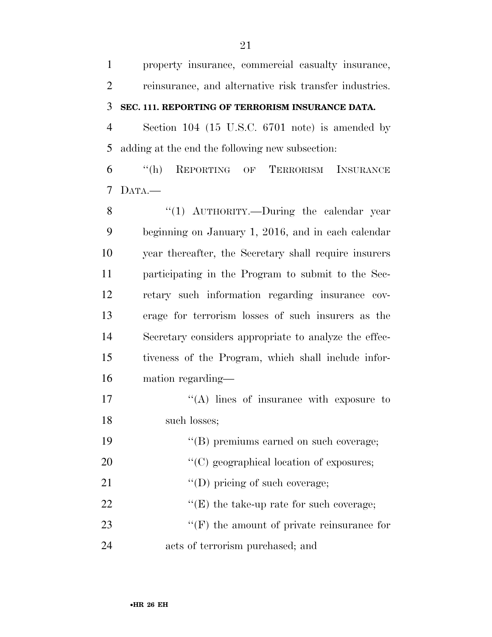property insurance, commercial casualty insurance, reinsurance, and alternative risk transfer industries. **SEC. 111. REPORTING OF TERRORISM INSURANCE DATA.**  Section 104 (15 U.S.C. 6701 note) is amended by adding at the end the following new subsection: ''(h) REPORTING OF TERRORISM INSURANCE DATA.— 8 "(1) AUTHORITY.—During the calendar year beginning on January 1, 2016, and in each calendar year thereafter, the Secretary shall require insurers participating in the Program to submit to the Sec- retary such information regarding insurance cov- erage for terrorism losses of such insurers as the Secretary considers appropriate to analyze the effec- tiveness of the Program, which shall include infor- mation regarding—  $\langle (A) \rangle$  lines of insurance with exposure to such losses; ''(B) premiums earned on such coverage;  $\cdot$  (C) geographical location of exposures;  $\text{``(D) pricing of such coverage;}$  $\langle$  (E) the take-up rate for such coverage; 23 ''(F) the amount of private reinsurance for acts of terrorism purchased; and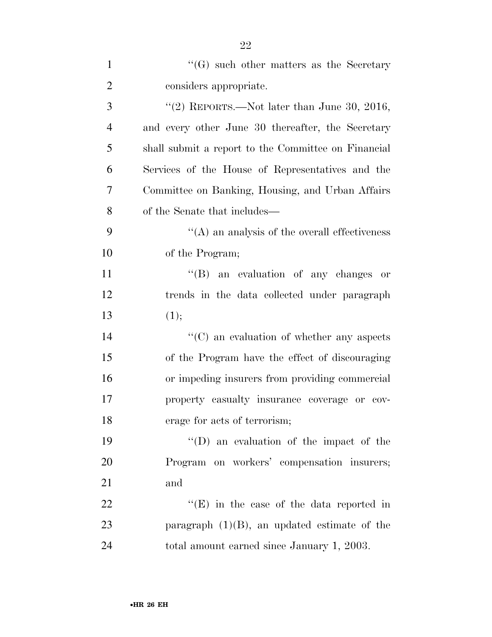| $\mathbf{1}$   | $\lq\lq(G)$ such other matters as the Secretary     |
|----------------|-----------------------------------------------------|
| $\overline{2}$ | considers appropriate.                              |
| 3              | "(2) REPORTS.—Not later than June 30, 2016,         |
| $\overline{4}$ | and every other June 30 thereafter, the Secretary   |
| 5              | shall submit a report to the Committee on Financial |
| 6              | Services of the House of Representatives and the    |
| 7              | Committee on Banking, Housing, and Urban Affairs    |
| 8              | of the Senate that includes—                        |
| 9              | $\lq\lq$ and analysis of the overall effectiveness  |
| 10             | of the Program;                                     |
| 11             | "(B) an evaluation of any changes or                |
| 12             | trends in the data collected under paragraph        |
| 13             | (1);                                                |
| 14             | "(C) an evaluation of whether any aspects           |
| 15             | of the Program have the effect of discouraging      |
| 16             | or impeding insurers from providing commercial      |
| 17             | property casualty insurance coverage or cov-        |
| 18             | erage for acts of terrorism;                        |
| 19             | "(D) an evaluation of the impact of the             |
| 20             | Program on workers' compensation insurers;          |
| 21             | and                                                 |
| 22             | " $(E)$ in the case of the data reported in         |
| 23             | paragraph $(1)(B)$ , an updated estimate of the     |
| 24             | total amount earned since January 1, 2003.          |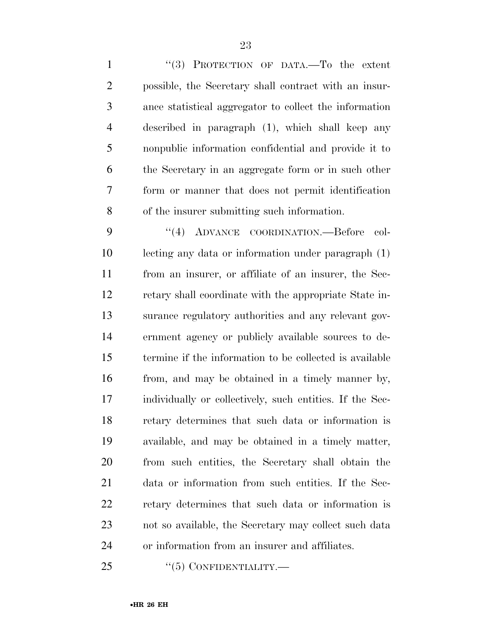1 "(3) PROTECTION OF DATA.—To the extent possible, the Secretary shall contract with an insur- ance statistical aggregator to collect the information described in paragraph (1), which shall keep any nonpublic information confidential and provide it to the Secretary in an aggregate form or in such other form or manner that does not permit identification of the insurer submitting such information.

 ''(4) ADVANCE COORDINATION.—Before col- lecting any data or information under paragraph (1) from an insurer, or affiliate of an insurer, the Sec- retary shall coordinate with the appropriate State in- surance regulatory authorities and any relevant gov- ernment agency or publicly available sources to de- termine if the information to be collected is available from, and may be obtained in a timely manner by, individually or collectively, such entities. If the Sec- retary determines that such data or information is available, and may be obtained in a timely matter, from such entities, the Secretary shall obtain the data or information from such entities. If the Sec- retary determines that such data or information is not so available, the Secretary may collect such data or information from an insurer and affiliates.

25 "(5) CONFIDENTIALITY.—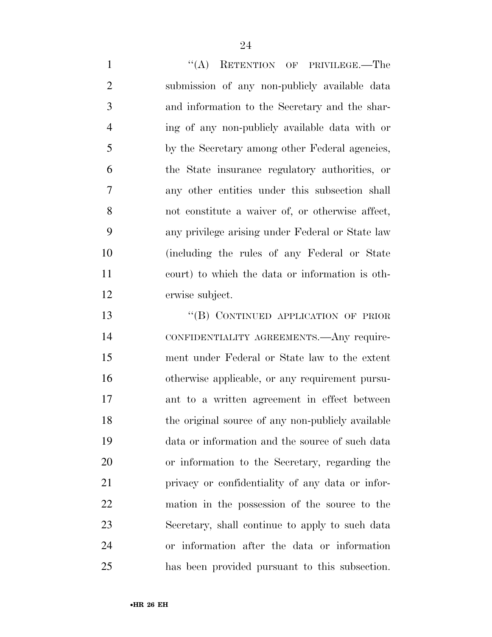1 "(A) RETENTION OF PRIVILEGE.—The submission of any non-publicly available data and information to the Secretary and the shar- ing of any non-publicly available data with or by the Secretary among other Federal agencies, the State insurance regulatory authorities, or any other entities under this subsection shall not constitute a waiver of, or otherwise affect, any privilege arising under Federal or State law (including the rules of any Federal or State court) to which the data or information is oth-erwise subject.

13 "(B) CONTINUED APPLICATION OF PRIOR CONFIDENTIALITY AGREEMENTS.—Any require- ment under Federal or State law to the extent otherwise applicable, or any requirement pursu- ant to a written agreement in effect between 18 the original source of any non-publicly available data or information and the source of such data or information to the Secretary, regarding the privacy or confidentiality of any data or infor- mation in the possession of the source to the Secretary, shall continue to apply to such data or information after the data or information has been provided pursuant to this subsection.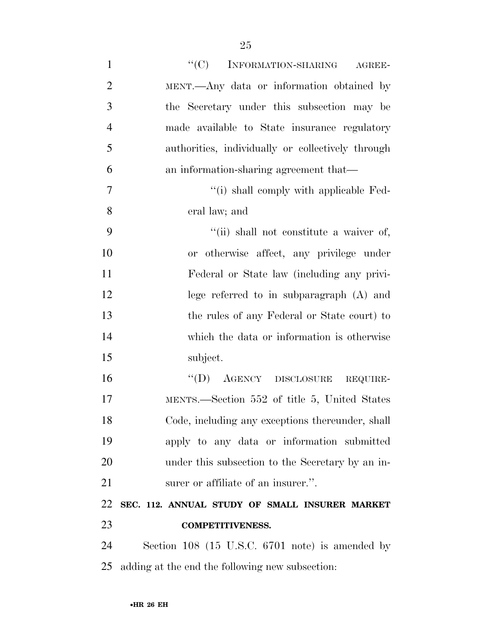| $\mathbf{1}$   | ``(C)<br>INFORMATION-SHARING AGREE-               |
|----------------|---------------------------------------------------|
| $\overline{2}$ | MENT.—Any data or information obtained by         |
| 3              | the Secretary under this subsection may be        |
| $\overline{4}$ | made available to State insurance regulatory      |
| 5              | authorities, individually or collectively through |
| 6              | an information-sharing agreement that—            |
| 7              | "(i) shall comply with applicable Fed-            |
| 8              | eral law; and                                     |
| 9              | "(ii) shall not constitute a waiver of,           |
| 10             | or otherwise affect, any privilege under          |
| 11             | Federal or State law (including any privi-        |
| 12             | lege referred to in subparagraph $(A)$ and        |
| 13             | the rules of any Federal or State court) to       |
| 14             | which the data or information is otherwise        |
| 15             | subject.                                          |
| 16             | $``(D)$ AGENCY DISCLOSURE REQUIRE-                |
| 17             | MENTS.—Section 552 of title 5, United States      |
| 18             | Code, including any exceptions thereunder, shall  |
| 19             | apply to any data or information submitted        |
| 20             | under this subsection to the Secretary by an in-  |
| 21             | surer or affiliate of an insurer.".               |
| 22             | SEC. 112. ANNUAL STUDY OF SMALL INSURER MARKET    |
| 23             | <b>COMPETITIVENESS.</b>                           |
| 24             | Section 108 (15 U.S.C. 6701 note) is amended by   |
| 25             | adding at the end the following new subsection:   |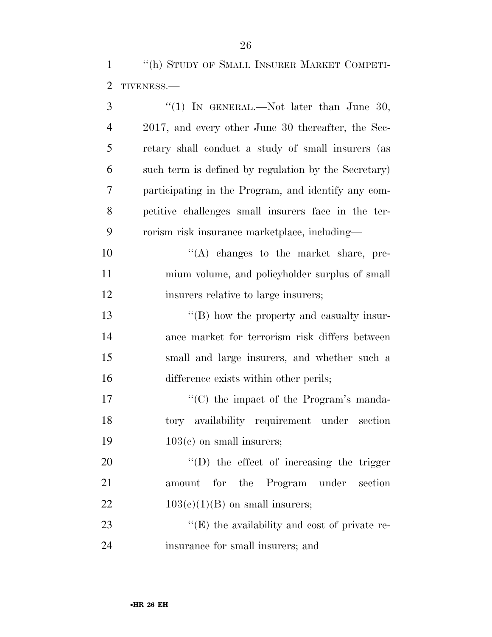''(h) STUDY OF SMALL INSURER MARKET COMPETI-TIVENESS.—

| 3              | "(1) IN GENERAL.—Not later than June 30,             |
|----------------|------------------------------------------------------|
| $\overline{4}$ | 2017, and every other June 30 thereafter, the Sec-   |
| 5              | retary shall conduct a study of small insurers (as   |
| 6              | such term is defined by regulation by the Secretary) |
| 7              | participating in the Program, and identify any com-  |
| 8              | petitive challenges small insurers face in the ter-  |
| 9              | rorism risk insurance marketplace, including—        |
| 10             | "(A) changes to the market share, pre-               |
| 11             | mium volume, and policyholder surplus of small       |
| 12             | insurers relative to large insurers;                 |
| 13             | "(B) how the property and casualty insur-            |
| 14             | ance market for terrorism risk differs between       |
| 15             | small and large insurers, and whether such a         |
| 16             | difference exists within other perils;               |
| 17             | "(C) the impact of the Program's manda-              |
| 18             | tory availability requirement under section          |
| 19             | $103(c)$ on small insurers;                          |
| 20             | $\lq\lq$ (D) the effect of increasing the trigger    |
| 21             | amount for the<br>Program under section              |
| <u>22</u>      | $103(e)(1)(B)$ on small insurers;                    |
| 23             | $\lq\lq(E)$ the availability and cost of private re- |
| 24             | insurance for small insurers; and                    |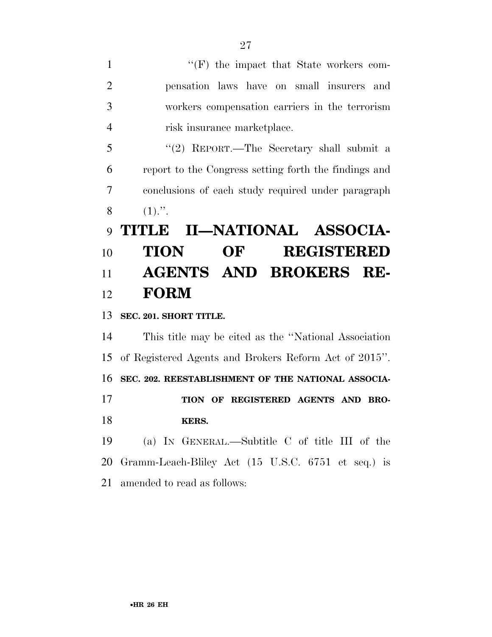1 ''(F) the impact that State workers com- pensation laws have on small insurers and workers compensation carriers in the terrorism risk insurance marketplace. ''(2) REPORT.—The Secretary shall submit a report to the Congress setting forth the findings and conclusions of each study required under paragraph 8  $(1)$ .". **TITLE II—NATIONAL ASSOCIA- TION OF REGISTERED AGENTS AND BROKERS RE- FORM SEC. 201. SHORT TITLE.**  This title may be cited as the ''National Association of Registered Agents and Brokers Reform Act of 2015''. **SEC. 202. REESTABLISHMENT OF THE NATIONAL ASSOCIA- TION OF REGISTERED AGENTS AND BRO- KERS.**  (a) IN GENERAL.—Subtitle C of title III of the Gramm-Leach-Bliley Act (15 U.S.C. 6751 et seq.) is

amended to read as follows: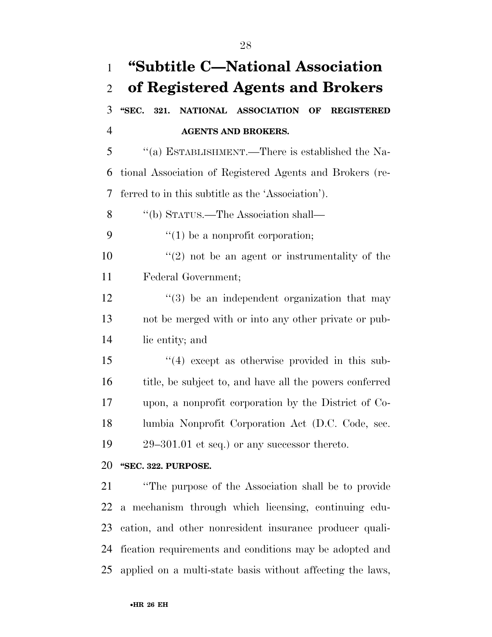| $\mathbf{1}$   | "Subtitle C—National Association                              |
|----------------|---------------------------------------------------------------|
| $\overline{2}$ | of Registered Agents and Brokers                              |
| 3              | "SEC. 321.<br>NATIONAL ASSOCIATION<br>OF<br><b>REGISTERED</b> |
| $\overline{4}$ | <b>AGENTS AND BROKERS.</b>                                    |
| 5              | "(a) ESTABLISHMENT.—There is established the Na-              |
| 6              | tional Association of Registered Agents and Brokers (re-      |
| 7              | ferred to in this subtitle as the 'Association').             |
| 8              | "(b) STATUS.—The Association shall—                           |
| 9              | $f'(1)$ be a nonprofit corporation;                           |
| 10             | $f'(2)$ not be an agent or instrumentality of the             |
| 11             | Federal Government;                                           |
| 12             | $\cdot\cdot\cdot(3)$ be an independent organization that may  |
| 13             | not be merged with or into any other private or pub-          |
| 14             | lic entity; and                                               |
| 15             | $(4)$ except as otherwise provided in this sub-               |
| 16             | title, be subject to, and have all the powers conferred       |
| 17             | upon, a nonprofit corporation by the District of Co-          |
| 18             | lumbia Nonprofit Corporation Act (D.C. Code, sec.             |
| 19             | $29-301.01$ et seq.) or any successor thereto.                |
| 20             | "SEC. 322. PURPOSE.                                           |
| 21             | "The purpose of the Association shall be to provide"          |
| 22             | a mechanism through which licensing, continuing edu-          |
| 23             | cation, and other nonresident insurance producer quali-       |
| 24             | fication requirements and conditions may be adopted and       |
| 25             | applied on a multi-state basis without affecting the laws,    |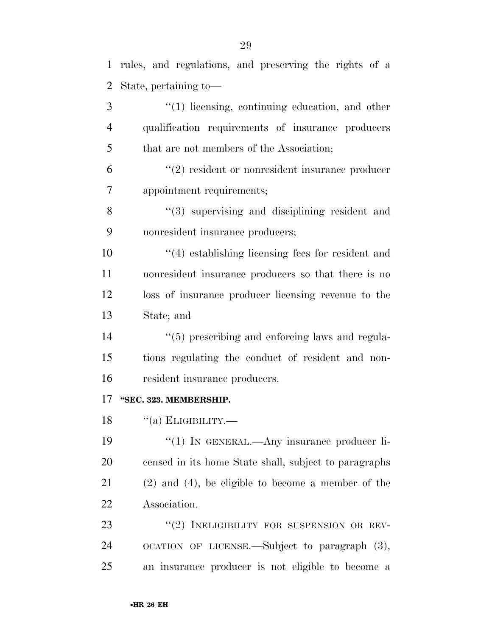| 1              | rules, and regulations, and preserving the rights of a  |
|----------------|---------------------------------------------------------|
| $\overline{2}$ | State, pertaining to-                                   |
| 3              | $\lq(1)$ licensing, continuing education, and other     |
| 4              | qualification requirements of insurance producers       |
| 5              | that are not members of the Association;                |
| 6              | $\lq(2)$ resident or nonresident insurance producer     |
| $\overline{7}$ | appointment requirements;                               |
| 8              | $(3)$ supervising and disciplining resident and         |
| 9              | nonresident insurance producers;                        |
| 10             | $(4)$ establishing licensing fees for resident and      |
| 11             | nonresident insurance producers so that there is no     |
| 12             | loss of insurance producer licensing revenue to the     |
| 13             | State; and                                              |
| 14             | "(5) prescribing and enforcing laws and regula-         |
| 15             | tions regulating the conduct of resident and non-       |
| 16             | resident insurance producers.                           |
| 17             | "SEC. 323. MEMBERSHIP.                                  |
| 18             | $\lq($ a) ELIGIBILITY.—                                 |
| 19             | $\lq(1)$ In GENERAL.—Any insurance producer li-         |
| 20             | censed in its home State shall, subject to paragraphs   |
| 21             | $(2)$ and $(4)$ , be eligible to become a member of the |
| 22             | Association.                                            |
| 23             | "(2) INELIGIBILITY FOR SUSPENSION OR REV-               |
| 24             | OCATION OF LICENSE.—Subject to paragraph (3),           |
| 25             | an insurance producer is not eligible to become a       |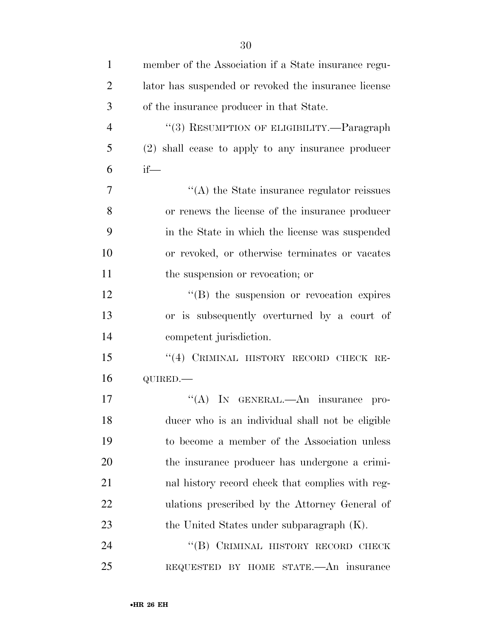| $\mathbf{1}$   | member of the Association if a State insurance regu- |
|----------------|------------------------------------------------------|
| $\overline{2}$ | lator has suspended or revoked the insurance license |
| 3              | of the insurance producer in that State.             |
| $\overline{4}$ | "(3) RESUMPTION OF ELIGIBILITY.—Paragraph            |
| 5              | (2) shall cease to apply to any insurance producer   |
| 6              | $if$ —                                               |
| $\overline{7}$ | "(A) the State insurance regulator reissues          |
| 8              | or renews the license of the insurance producer      |
| 9              | in the State in which the license was suspended      |
| 10             | or revoked, or otherwise terminates or vacates       |
| 11             | the suspension or revocation; or                     |
| 12             | "(B) the suspension or revocation expires            |
| 13             | or is subsequently overturned by a court of          |
| 14             | competent jurisdiction.                              |
| 15             | "(4) CRIMINAL HISTORY RECORD CHECK RE-               |
| 16             | QUIRED.                                              |
| 17             | "(A) IN GENERAL.—An insurance pro-                   |
| 18             | ducer who is an individual shall not be eligible     |
| 19             | to become a member of the Association unless         |
| 20             | the insurance producer has undergone a crimi-        |
| 21             | nal history record check that complies with reg-     |
| 22             | ulations prescribed by the Attorney General of       |
| 23             | the United States under subparagraph (K).            |
| 24             | "(B) CRIMINAL HISTORY RECORD CHECK                   |
| 25             | REQUESTED BY HOME STATE. An insurance                |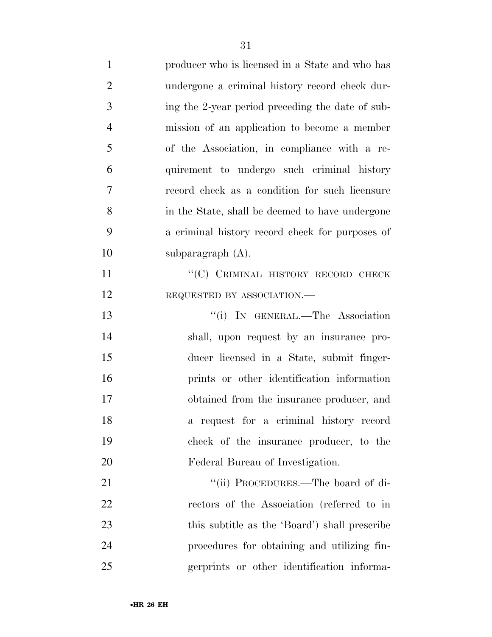| $\mathbf{1}$   | producer who is licensed in a State and who has  |
|----------------|--------------------------------------------------|
| $\overline{2}$ | undergone a criminal history record check dur-   |
| 3              | ing the 2-year period preceding the date of sub- |
| $\overline{4}$ | mission of an application to become a member     |
| 5              | of the Association, in compliance with a re-     |
| 6              | quirement to undergo such criminal history       |
| $\overline{7}$ | record check as a condition for such licensure   |
| 8              | in the State, shall be deemed to have undergone  |
| 9              | a criminal history record check for purposes of  |
| 10             | subparagraph $(A)$ .                             |
| 11             | "(C) CRIMINAL HISTORY RECORD CHECK               |
| 12             | REQUESTED BY ASSOCIATION.-                       |
| 13             | "(i) IN GENERAL.—The Association                 |
| 14             | shall, upon request by an insurance pro-         |
| 15             | ducer licensed in a State, submit finger-        |
| 16             | prints or other identification information       |
| 17             | obtained from the insurance producer, and        |
| 18             | a request for a criminal history record          |
| 19             | check of the insurance producer, to the          |
| 20             | Federal Bureau of Investigation.                 |
| 21             | "(ii) PROCEDURES.—The board of di-               |
| 22             | rectors of the Association (referred to in       |
| 23             | this subtitle as the 'Board') shall prescribe    |
| 24             | procedures for obtaining and utilizing fin-      |
| 25             | gerprints or other identification informa-       |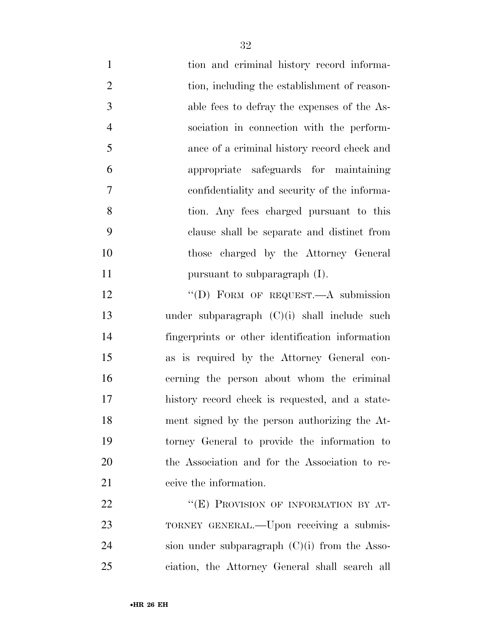- tion and criminal history record informa-2 tion, including the establishment of reason- able fees to defray the expenses of the As- sociation in connection with the perform- ance of a criminal history record check and appropriate safeguards for maintaining confidentiality and security of the informa- tion. Any fees charged pursuant to this clause shall be separate and distinct from those charged by the Attorney General **pursuant to subparagraph (I)**.
- 12 "(D) FORM OF REQUEST.—A submission under subparagraph (C)(i) shall include such fingerprints or other identification information as is required by the Attorney General con- cerning the person about whom the criminal history record check is requested, and a state- ment signed by the person authorizing the At- torney General to provide the information to the Association and for the Association to re-ceive the information.

22 "(E) PROVISION OF INFORMATION BY AT-23 TORNEY GENERAL.—Upon receiving a submis- sion under subparagraph (C)(i) from the Asso-ciation, the Attorney General shall search all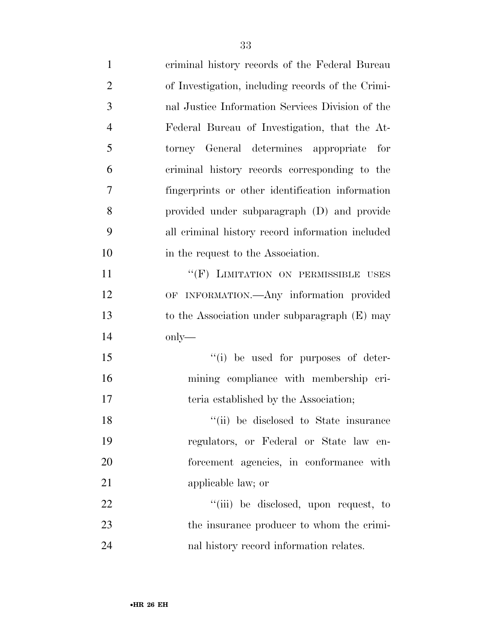| $\mathbf{1}$   | criminal history records of the Federal Bureau    |
|----------------|---------------------------------------------------|
| $\overline{2}$ | of Investigation, including records of the Crimi- |
| 3              | nal Justice Information Services Division of the  |
| $\overline{4}$ | Federal Bureau of Investigation, that the At-     |
| 5              | torney General determines appropriate for         |
| 6              | criminal history records corresponding to the     |
| 7              | fingerprints or other identification information  |
| 8              | provided under subparagraph (D) and provide       |
| 9              | all criminal history record information included  |
| 10             | in the request to the Association.                |
| 11             | "(F) LIMITATION ON PERMISSIBLE USES               |
| 12             | OF INFORMATION.—Any information provided          |
| 13             | to the Association under subparagraph $(E)$ may   |
| 14             | $\text{only}$ —                                   |
| 15             | "(i) be used for purposes of deter-               |
| 16             | mining compliance with membership cri-            |
| 17             | teria established by the Association;             |
| 18             | "(ii) be disclosed to State insurance             |
| 19             | regulators, or Federal or State law en-           |
| 20             | forcement agencies, in conformance with           |
| 21             | applicable law; or                                |
| 22             | "(iii) be disclosed, upon request, to             |
| 23             | the insurance producer to whom the crimi-         |
| 24             | nal history record information relates.           |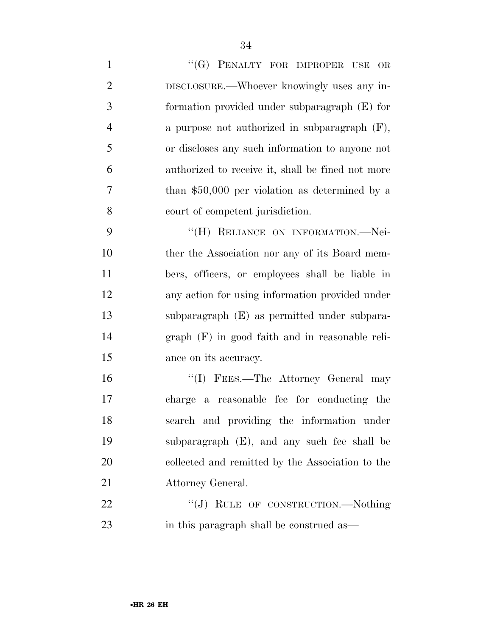| $\mathbf{1}$   | "(G) PENALTY FOR IMPROPER USE<br>OR               |
|----------------|---------------------------------------------------|
| $\overline{2}$ | DISCLOSURE.—Whoever knowingly uses any in-        |
| 3              | formation provided under subparagraph (E) for     |
| $\overline{4}$ | a purpose not authorized in subparagraph $(F)$ ,  |
| 5              | or discloses any such information to anyone not   |
| 6              | authorized to receive it, shall be fined not more |
| 7              | than $$50,000$ per violation as determined by a   |
| 8              | court of competent jurisdiction.                  |
| 9              | "(H) RELIANCE ON INFORMATION.-Nei-                |
| 10             | ther the Association nor any of its Board mem-    |
| 11             | bers, officers, or employees shall be liable in   |
| 12             | any action for using information provided under   |
| 13             | subparagraph (E) as permitted under subpara-      |
| 14             | $graph$ (F) in good faith and in reasonable reli- |
| 15             | ance on its accuracy.                             |
| 16             | "(I) FEES.—The Attorney General may               |
| 17             | charge a reasonable fee for conducting the        |
| 18             | search and providing the information under        |
| 19             | subparagraph (E), and any such fee shall be       |
| 20             | collected and remitted by the Association to the  |
| 21             | Attorney General.                                 |
| 22             | "(J) RULE OF CONSTRUCTION.—Nothing                |
| 23             | in this paragraph shall be construed as—          |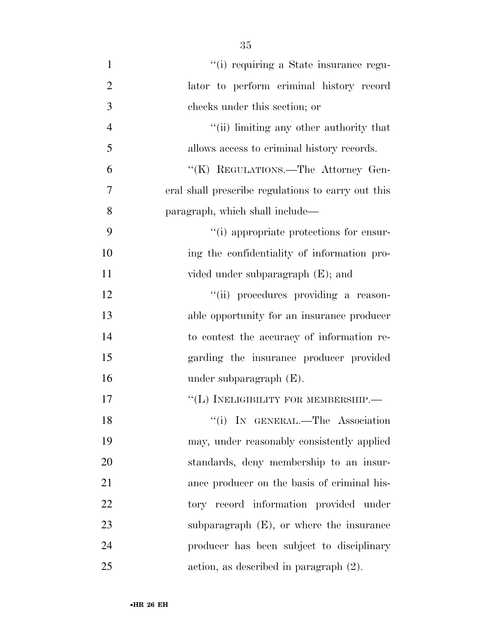- 1  $\frac{1}{1}$  '(i) requiring a State insurance regu- lator to perform criminal history record checks under this section; or 4  $\frac{1}{\sin(\pi)}$  limiting any other authority that allows access to criminal history records. ''(K) REGULATIONS.—The Attorney Gen- eral shall prescribe regulations to carry out this paragraph, which shall include— 9  $(1)$  appropriate protections for ensur- ing the confidentiality of information pro-11 vided under subparagraph (E); and 12  $"$ (ii) procedures providing a reason- able opportunity for an insurance producer to contest the accuracy of information re- garding the insurance producer provided under subparagraph (E). 17 "(L) INELIGIBILITY FOR MEMBERSHIP. 18 ''(i) IN GENERAL.—The Association may, under reasonably consistently applied standards, deny membership to an insur- ance producer on the basis of criminal his-22 tory record information provided under
- 23 subparagraph (E), or where the insurance producer has been subject to disciplinary action, as described in paragraph (2).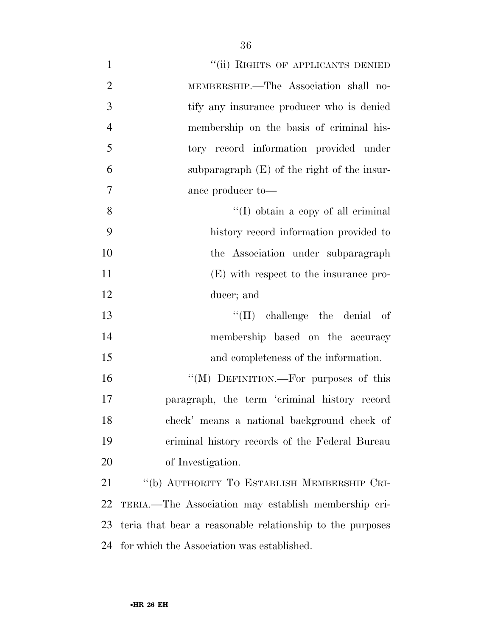| $\mathbf{1}$   | "(ii) RIGHTS OF APPLICANTS DENIED                         |
|----------------|-----------------------------------------------------------|
| $\overline{2}$ | MEMBERSHIP.—The Association shall no-                     |
| 3              | tify any insurance producer who is denied                 |
| $\overline{4}$ | membership on the basis of criminal his-                  |
| 5              | tory record information provided under                    |
| 6              | subparagraph $(E)$ of the right of the insur-             |
| $\overline{7}$ | ance producer to-                                         |
| 8              | $\lq (I)$ obtain a copy of all criminal                   |
| 9              | history record information provided to                    |
| 10             | the Association under subparagraph                        |
| 11             | (E) with respect to the insurance pro-                    |
| 12             | ducer; and                                                |
| 13             | $\lq\lq$ (II) challenge the denial of                     |
| 14             | membership based on the accuracy                          |
| 15             | and completeness of the information.                      |
| 16             | "(M) DEFINITION.—For purposes of this                     |
| 17             | paragraph, the term 'criminal history record              |
| 18             | check' means a national background check of               |
| 19             | criminal history records of the Federal Bureau            |
| 20             | of Investigation.                                         |
| 21             | "(b) AUTHORITY TO ESTABLISH MEMBERSHIP CRI-               |
| 22             | TERIA.—The Association may establish membership cri-      |
| 23             | teria that bear a reasonable relationship to the purposes |
| 24             | for which the Association was established.                |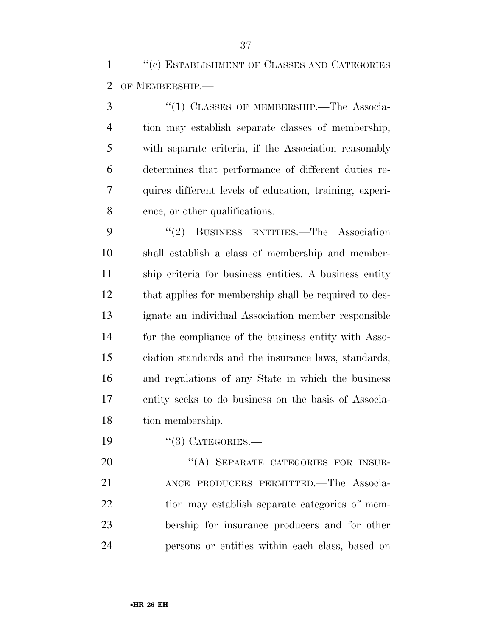''(c) ESTABLISHMENT OF CLASSES AND CATEGORIES OF MEMBERSHIP.—

3 "(1) CLASSES OF MEMBERSHIP.—The Associa- tion may establish separate classes of membership, with separate criteria, if the Association reasonably determines that performance of different duties re- quires different levels of education, training, experi-ence, or other qualifications.

 ''(2) BUSINESS ENTITIES.—The Association shall establish a class of membership and member- ship criteria for business entities. A business entity that applies for membership shall be required to des- ignate an individual Association member responsible for the compliance of the business entity with Asso- ciation standards and the insurance laws, standards, and regulations of any State in which the business entity seeks to do business on the basis of Associa-tion membership.

19 "(3) CATEGORIES.—

20 "(A) SEPARATE CATEGORIES FOR INSUR- ANCE PRODUCERS PERMITTED.—The Associa- tion may establish separate categories of mem- bership for insurance producers and for other persons or entities within each class, based on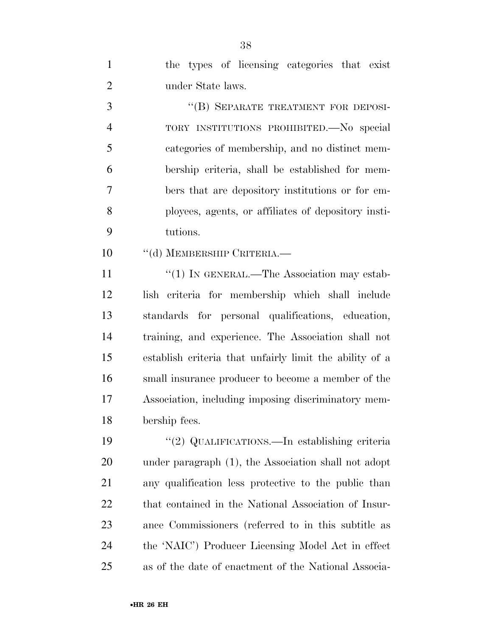| $\mathbf{1}$   | the types of licensing categories that exist            |
|----------------|---------------------------------------------------------|
| $\overline{2}$ | under State laws.                                       |
| 3              | "(B) SEPARATE TREATMENT FOR DEPOSI-                     |
| $\overline{4}$ | TORY INSTITUTIONS PROHIBITED. No special                |
| 5              | categories of membership, and no distinct mem-          |
| 6              | bership criteria, shall be established for mem-         |
| 7              | bers that are depository institutions or for em-        |
| 8              | ployees, agents, or affiliates of depository insti-     |
| 9              | tutions.                                                |
| 10             | "(d) MEMBERSHIP CRITERIA.—                              |
| 11             | $\lq(1)$ In GENERAL.—The Association may estab-         |
| 12             | lish criteria for membership which shall include        |
| 13             | standards for personal qualifications, education,       |
| 14             | training, and experience. The Association shall not     |
| 15             | establish criteria that unfairly limit the ability of a |
| 16             | small insurance producer to become a member of the      |
| 17             | Association, including imposing discriminatory mem-     |
| 18             | bership fees.                                           |
| 19             | "(2) QUALIFICATIONS.—In establishing criteria           |
| 20             | under paragraph (1), the Association shall not adopt    |
| 21             | any qualification less protective to the public than    |
| 22             | that contained in the National Association of Insur-    |
| 23             | ance Commissioners (referred to in this subtitle as     |
| 24             | the 'NAIC') Producer Licensing Model Act in effect      |
| 25             | as of the date of enactment of the National Associa-    |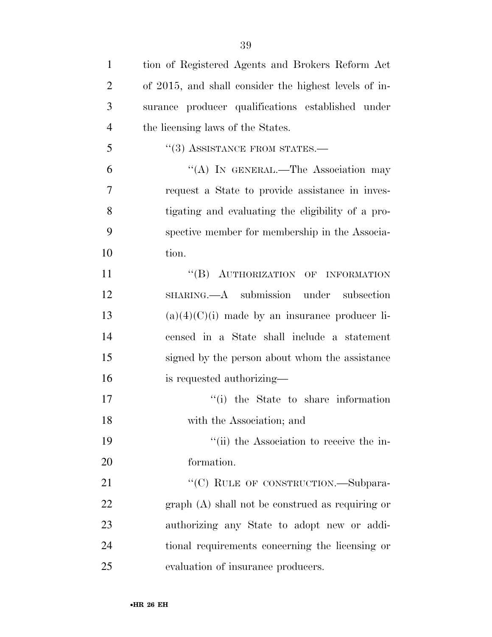| $\mathbf{1}$   | tion of Registered Agents and Brokers Reform Act      |
|----------------|-------------------------------------------------------|
| $\overline{2}$ | of 2015, and shall consider the highest levels of in- |
| 3              | surance producer qualifications established under     |
| $\overline{4}$ | the licensing laws of the States.                     |
| 5              | $``(3)$ ASSISTANCE FROM STATES.—                      |
| 6              | "(A) IN GENERAL.—The Association may                  |
| 7              | request a State to provide assistance in inves-       |
| 8              | tigating and evaluating the eligibility of a pro-     |
| 9              | spective member for membership in the Associa-        |
| 10             | tion.                                                 |
| 11             | "(B) AUTHORIZATION OF INFORMATION                     |
| 12             | SHARING.—A submission under subsection                |
| 13             | $(a)(4)(C)(i)$ made by an insurance producer li-      |
| 14             | censed in a State shall include a statement           |
| 15             | signed by the person about whom the assistance        |
| 16             | is requested authorizing—                             |
| 17             | "(i) the State to share information                   |
| 18             | with the Association; and                             |
| 19             | "(ii) the Association to receive the in-              |
| 20             | formation.                                            |
| 21             | "(C) RULE OF CONSTRUCTION.—Subpara-                   |
| 22             | $graph(A)$ shall not be construed as requiring or     |
| 23             | authorizing any State to adopt new or addi-           |
| 24             | tional requirements concerning the licensing or       |
| 25             | evaluation of insurance producers.                    |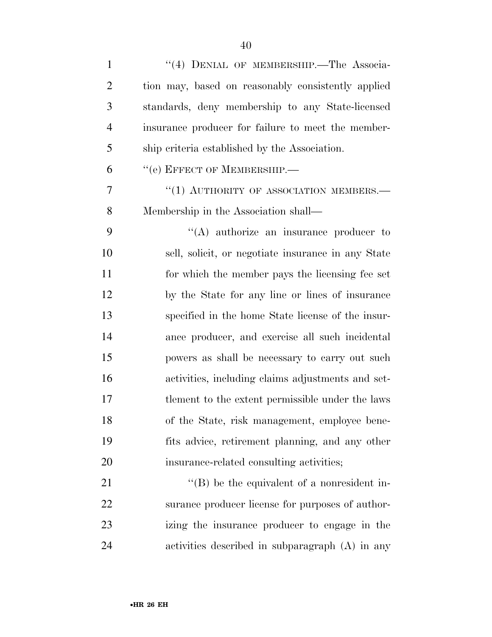| $\mathbf{1}$   | "(4) DENIAL OF MEMBERSHIP.-The Associa-            |
|----------------|----------------------------------------------------|
| $\overline{2}$ | tion may, based on reasonably consistently applied |
| 3              | standards, deny membership to any State-licensed   |
| $\overline{4}$ | insurance producer for failure to meet the member- |
| 5              | ship criteria established by the Association.      |
| 6              | "(e) EFFECT OF MEMBERSHIP.-                        |
| 7              | "(1) AUTHORITY OF ASSOCIATION MEMBERS.-            |
| 8              | Membership in the Association shall—               |
| 9              | $\lq\lq$ authorize an insurance producer to        |
| 10             | sell, solicit, or negotiate insurance in any State |
| 11             | for which the member pays the licensing fee set    |
| 12             | by the State for any line or lines of insurance    |
| 13             | specified in the home State license of the insur-  |
| 14             | ance producer, and exercise all such incidental    |
| 15             | powers as shall be necessary to carry out such     |
| 16             | activities, including claims adjustments and set-  |
| 17             | tlement to the extent permissible under the laws   |
| 18             | of the State, risk management, employee bene-      |
| 19             | fits advice, retirement planning, and any other    |
| 20             | insurance-related consulting activities;           |
| 21             | $\lq\lq$ be the equivalent of a nonresident in-    |
| 22             | surance producer license for purposes of author-   |
| 23             | izing the insurance producer to engage in the      |
| 24             | activities described in subparagraph (A) in any    |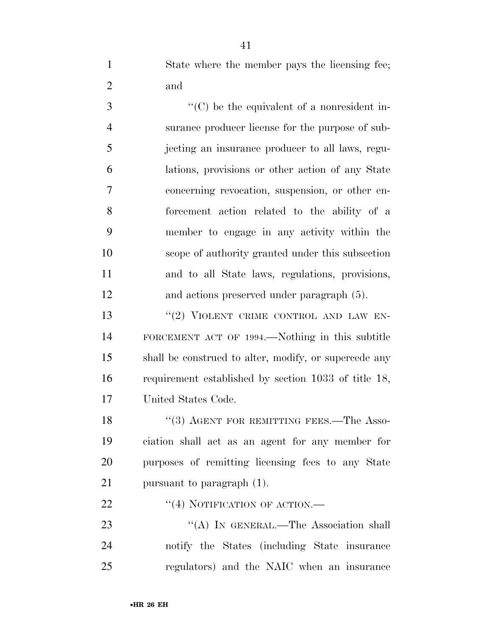State where the member pays the licensing fee; and

 $\cdot$  (C) be the equivalent of a nonresident in- surance producer license for the purpose of sub- jecting an insurance producer to all laws, regu- lations, provisions or other action of any State concerning revocation, suspension, or other en- forcement action related to the ability of a member to engage in any activity within the scope of authority granted under this subsection and to all State laws, regulations, provisions, and actions preserved under paragraph (5).

13 "(2) VIOLENT CRIME CONTROL AND LAW EN- FORCEMENT ACT OF 1994.—Nothing in this subtitle shall be construed to alter, modify, or supercede any requirement established by section 1033 of title 18, United States Code.

18 "(3) AGENT FOR REMITTING FEES.—The Asso- ciation shall act as an agent for any member for purposes of remitting licensing fees to any State pursuant to paragraph (1).

22 "(4) NOTIFICATION OF ACTION.—

23 "'(A) IN GENERAL.—The Association shall notify the States (including State insurance regulators) and the NAIC when an insurance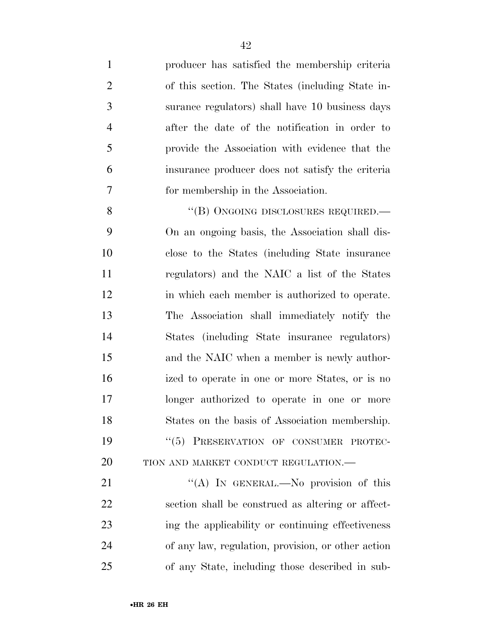| $\mathbf{1}$   | producer has satisfied the membership criteria   |
|----------------|--------------------------------------------------|
| $\overline{2}$ | of this section. The States (including State in- |
| 3              | surance regulators) shall have 10 business days  |
| $\overline{4}$ | after the date of the notification in order to   |
| 5              | provide the Association with evidence that the   |
| 6              | insurance producer does not satisfy the criteria |
| 7              | for membership in the Association.               |
| 8              | "(B) ONGOING DISCLOSURES REQUIRED.—              |
| 9              | On an ongoing basis, the Association shall dis-  |
| 10             | close to the States (including State insurance)  |
| 11             | regulators) and the NAIC a list of the States    |
| 12             | in which each member is authorized to operate.   |
| 13             | The Association shall immediately notify the     |
| 14             | States (including State insurance regulators)    |
|                |                                                  |

 and the NAIC when a member is newly author- ized to operate in one or more States, or is no longer authorized to operate in one or more States on the basis of Association membership. 19 "(5) PRESERVATION OF CONSUMER PROTEC-20 TION AND MARKET CONDUCT REGULATION.—

21 "(A) In GENERAL.—No provision of this section shall be construed as altering or affect- ing the applicability or continuing effectiveness of any law, regulation, provision, or other action of any State, including those described in sub-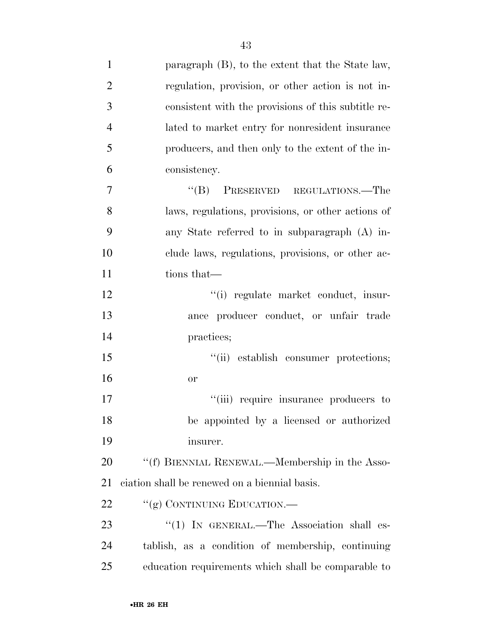| $\mathbf{1}$   | paragraph (B), to the extent that the State law,    |
|----------------|-----------------------------------------------------|
| $\overline{2}$ | regulation, provision, or other action is not in-   |
| 3              | consistent with the provisions of this subtitle re- |
| $\overline{4}$ | lated to market entry for nonresident insurance     |
| 5              | producers, and then only to the extent of the in-   |
| 6              | consistency.                                        |
| 7              | PRESERVED REGULATIONS.—The<br>$\lq\lq (B)$          |
| 8              | laws, regulations, provisions, or other actions of  |
| 9              | any State referred to in subparagraph (A) in-       |
| 10             | clude laws, regulations, provisions, or other ac-   |
| 11             | tions that—                                         |
| 12             | "(i) regulate market conduct, insur-                |
| 13             | ance producer conduct, or unfair trade              |
| 14             | practices;                                          |
| 15             | "(ii) establish consumer protections;               |
| 16             | or                                                  |
| 17             | "(iii) require insurance producers to               |
| 18             | be appointed by a licensed or authorized            |
| 19             | insurer.                                            |
| 20             | "(f) BIENNIAL RENEWAL.—Membership in the Asso-      |
| 21             | ciation shall be renewed on a biennial basis.       |
| 22             | "(g) CONTINUING EDUCATION.—                         |
| 23             | "(1) IN GENERAL.—The Association shall es-          |
| 24             | tablish, as a condition of membership, continuing   |
| 25             | education requirements which shall be comparable to |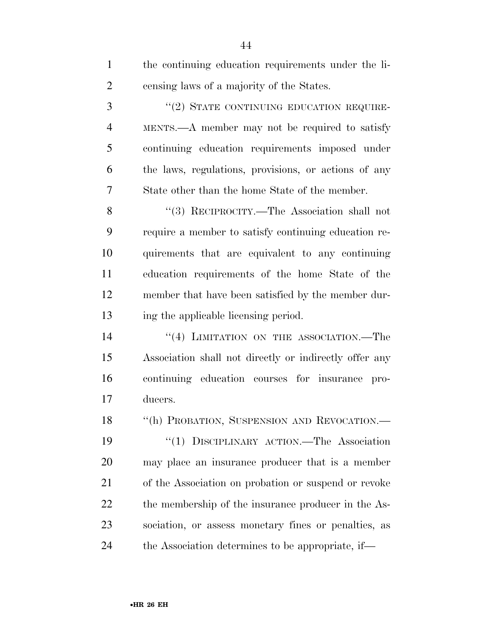| $\mathbf{1}$   | the continuing education requirements under the li-    |
|----------------|--------------------------------------------------------|
| $\overline{2}$ | censing laws of a majority of the States.              |
| 3              | "(2) STATE CONTINUING EDUCATION REQUIRE-               |
| $\overline{4}$ | MENTS.—A member may not be required to satisfy         |
| 5              | continuing education requirements imposed under        |
| 6              | the laws, regulations, provisions, or actions of any   |
| 7              | State other than the home State of the member.         |
| 8              | "(3) RECIPROCITY.—The Association shall not            |
| 9              | require a member to satisfy continuing education re-   |
| 10             | quirements that are equivalent to any continuing       |
| 11             | education requirements of the home State of the        |
| 12             | member that have been satisfied by the member dur-     |
|                |                                                        |
| 13             | ing the applicable licensing period.                   |
| 14             | "(4) LIMITATION ON THE ASSOCIATION.—The                |
| 15             | Association shall not directly or indirectly offer any |
| 16             | continuing education courses for insurance pro-        |
| 17             | ducers.                                                |
| 18             | "(h) PROBATION, SUSPENSION AND REVOCATION.-            |
| 19             | "(1) DISCIPLINARY ACTION.—The Association              |
| 20             | may place an insurance producer that is a member       |
| 21             | of the Association on probation or suspend or revoke   |
| 22             | the membership of the insurance producer in the As-    |
| 23             | sociation, or assess monetary fines or penalties, as   |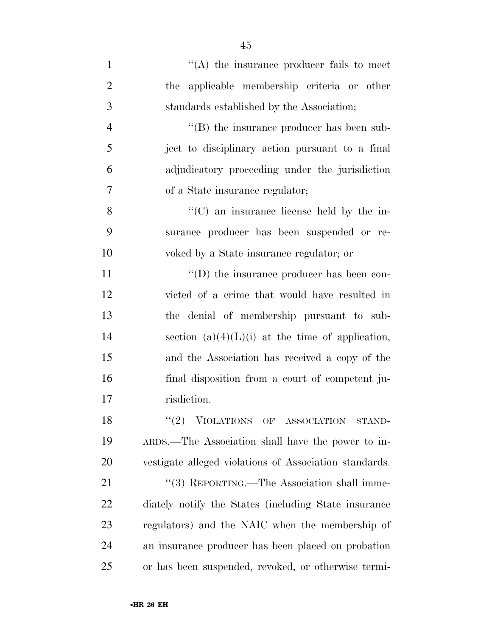| $\mathbf{1}$   | $\lq\lq$ the insurance producer fails to meet          |
|----------------|--------------------------------------------------------|
| $\overline{2}$ | the applicable membership criteria or other            |
| 3              | standards established by the Association;              |
| $\overline{4}$ | "(B) the insurance producer has been sub-              |
| 5              | ject to disciplinary action pursuant to a final        |
| 6              | adjudicatory proceeding under the jurisdiction         |
| 7              | of a State insurance regulator;                        |
| 8              | "(C) an insurance license held by the in-              |
| 9              | surance producer has been suspended or re-             |
| 10             | voked by a State insurance regulator; or               |
| 11             | $\lq\lq$ the insurance producer has been con-          |
| 12             | victed of a crime that would have resulted in          |
| 13             | the denial of membership pursuant to sub-              |
| 14             | section $(a)(4)(L)(i)$ at the time of application,     |
| 15             | and the Association has received a copy of the         |
| 16             | final disposition from a court of competent ju-        |
| 17             | risdiction.                                            |
| 18             | (2)<br>VIOLATIONS OF ASSOCIATION<br>STAND-             |
| 19             | ARDS.—The Association shall have the power to in-      |
| 20             | vestigate alleged violations of Association standards. |
| 21             | "(3) REPORTING.—The Association shall imme-            |
| 22             | diately notify the States (including State insurance)  |
| 23             | regulators) and the NAIC when the membership of        |
| 24             | an insurance producer has been placed on probation     |
| 25             | or has been suspended, revoked, or otherwise termi-    |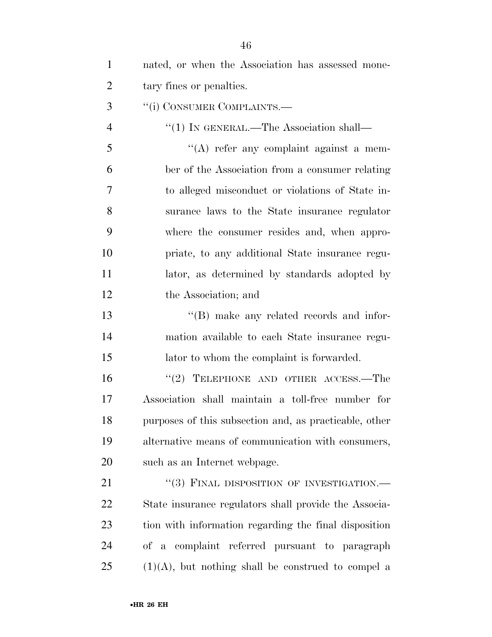| $\mathbf{1}$   | nated, or when the Association has assessed mone-      |
|----------------|--------------------------------------------------------|
| $\overline{2}$ | tary fines or penalties.                               |
| 3              | "(i) CONSUMER COMPLAINTS.—                             |
| $\overline{4}$ | "(1) IN GENERAL.—The Association shall—                |
| 5              | $\lq\lq$ refer any complaint against a mem-            |
| 6              | ber of the Association from a consumer relating        |
| 7              | to alleged misconduct or violations of State in-       |
| 8              | surance laws to the State insurance regulator          |
| 9              | where the consumer resides and, when appro-            |
| 10             | priate, to any additional State insurance regu-        |
| 11             | lator, as determined by standards adopted by           |
| 12             | the Association; and                                   |
| 13             | $\lq\lq$ (B) make any related records and infor-       |
| 14             | mation available to each State insurance regu-         |
| 15             | lator to whom the complaint is forwarded.              |
| 16             | " $(2)$ TELEPHONE AND OTHER ACCESS.—The                |
| 17             | Association shall maintain a toll-free number for      |
| 18             | purposes of this subsection and, as practicable, other |
| 19             | alternative means of communication with consumers,     |
| 20             | such as an Internet webpage.                           |
| 21             | "(3) FINAL DISPOSITION OF INVESTIGATION.-              |
| 22             | State insurance regulators shall provide the Associa-  |
| 23             | tion with information regarding the final disposition  |
| 24             | of a complaint referred pursuant to paragraph          |
| 25             | $(1)(A)$ , but nothing shall be construed to compel a  |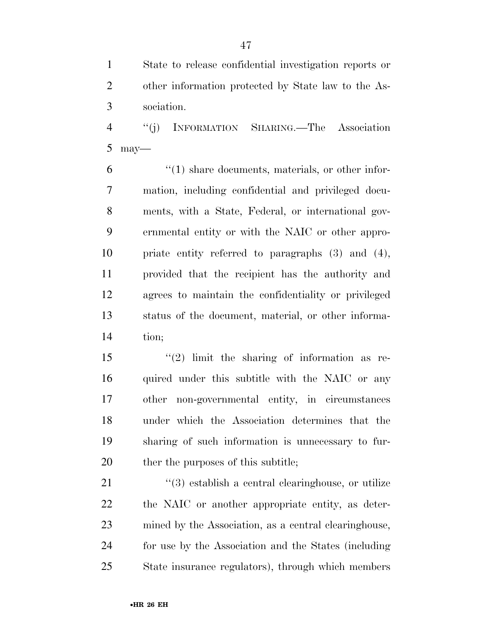State to release confidential investigation reports or other information protected by State law to the As-sociation.

 ''(j) INFORMATION SHARING.—The Association may—

 $(1)$  share documents, materials, or other infor- mation, including confidential and privileged docu- ments, with a State, Federal, or international gov- ernmental entity or with the NAIC or other appro- priate entity referred to paragraphs (3) and (4), provided that the recipient has the authority and agrees to maintain the confidentiality or privileged status of the document, material, or other informa-tion;

 ''(2) limit the sharing of information as re-16 quired under this subtitle with the NAIC or any other non-governmental entity, in circumstances under which the Association determines that the sharing of such information is unnecessary to fur-20 ther the purposes of this subtitle;

 ''(3) establish a central clearinghouse, or utilize the NAIC or another appropriate entity, as deter- mined by the Association, as a central clearinghouse, for use by the Association and the States (including State insurance regulators), through which members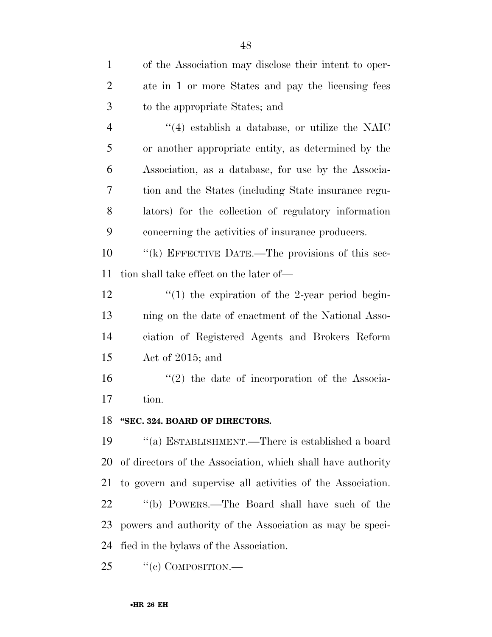| $\mathbf{1}$   | of the Association may disclose their intent to oper-       |
|----------------|-------------------------------------------------------------|
| $\overline{c}$ | ate in 1 or more States and pay the licensing fees          |
| 3              | to the appropriate States; and                              |
| $\overline{4}$ | $\cdot$ (4) establish a database, or utilize the NAIC       |
| 5              | or another appropriate entity, as determined by the         |
| 6              | Association, as a database, for use by the Associa-         |
| 7              | tion and the States (including State insurance regu-        |
| 8              | lators) for the collection of regulatory information        |
| 9              | concerning the activities of insurance producers.           |
| 10             | "(k) EFFECTIVE DATE.—The provisions of this sec-            |
| 11             | tion shall take effect on the later of—                     |
| 12             | $\lq(1)$ the expiration of the 2-year period begin-         |
| 13             | ning on the date of enactment of the National Asso-         |
| 14             | ciation of Registered Agents and Brokers Reform             |
| 15             | Act of $2015$ ; and                                         |
| 16             | $\lq(2)$ the date of incorporation of the Associa-          |
| 17             | tion.                                                       |
| 18             | "SEC. 324. BOARD OF DIRECTORS.                              |
| 19             | "(a) ESTABLISHMENT.—There is established a board            |
| 20             | of directors of the Association, which shall have authority |
| 21             | to govern and supervise all activities of the Association.  |
| 22             | "(b) POWERS.—The Board shall have such of the               |
| 23             | powers and authority of the Association as may be speci-    |
| 24             | fied in the bylaws of the Association.                      |
| 25             | "(c) COMPOSITION.—                                          |

•**HR 26 EH**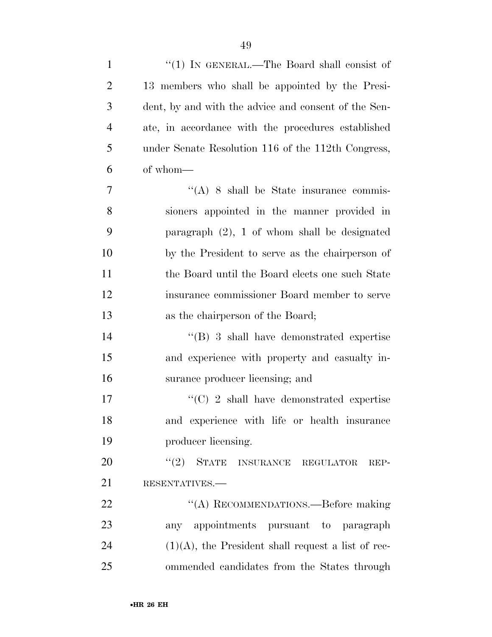| $\mathbf{1}$   | "(1) IN GENERAL.—The Board shall consist of           |
|----------------|-------------------------------------------------------|
| $\overline{2}$ | 13 members who shall be appointed by the Presi-       |
| 3              | dent, by and with the advice and consent of the Sen-  |
| $\overline{4}$ | ate, in accordance with the procedures established    |
| 5              | under Senate Resolution 116 of the 112th Congress,    |
| 6              | of whom-                                              |
| 7              | $\lq\lq$ (A) 8 shall be State insurance commis-       |
| 8              | sioners appointed in the manner provided in           |
| 9              | paragraph $(2)$ , 1 of whom shall be designated       |
| 10             | by the President to serve as the chairperson of       |
| 11             | the Board until the Board elects one such State       |
| 12             | insurance commissioner Board member to serve          |
| 13             | as the chairperson of the Board;                      |
| 14             | $\lq\lq (B)$ 3 shall have demonstrated expertise      |
| 15             | and experience with property and casualty in-         |
| 16             | surance producer licensing; and                       |
| 17             | $\cdot\cdot$ (C) 2 shall have demonstrated expertise  |
| 18             | and experience with life or health insurance          |
| 19             | producer licensing.                                   |
| 20             | $``(2)$ STATE INSURANCE REGULATOR<br>REP-             |
| 21             | RESENTATIVES.-                                        |
| 22             | "(A) RECOMMENDATIONS.—Before making                   |
| 23             | any appointments pursuant to paragraph                |
| 24             | $(1)(A)$ , the President shall request a list of rec- |
| 25             | ommended candidates from the States through           |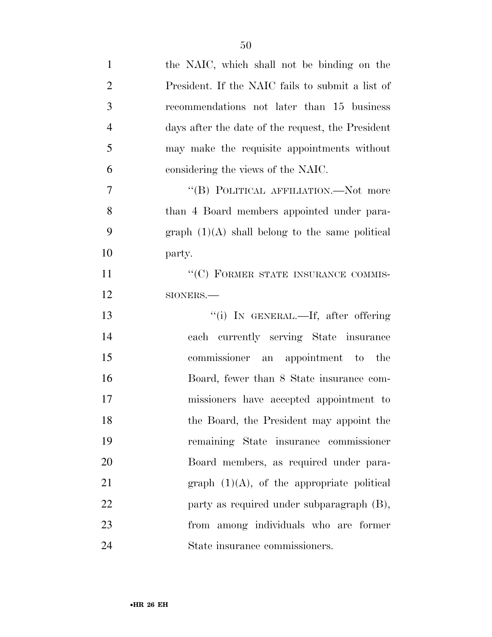| $\mathbf{1}$   | the NAIC, which shall not be binding on the       |
|----------------|---------------------------------------------------|
| $\overline{2}$ | President. If the NAIC fails to submit a list of  |
| 3              | recommendations not later than 15 business        |
| $\overline{4}$ | days after the date of the request, the President |
| 5              | may make the requisite appointments without       |
| 6              | considering the views of the NAIC.                |
| $\overline{7}$ | "(B) POLITICAL AFFILIATION.—Not more              |
| 8              | than 4 Board members appointed under para-        |
| 9              | graph $(1)(A)$ shall belong to the same political |
| 10             | party.                                            |
| <sup>11</sup>  | $\lq\lq (C)$ FORMER STATE INSURANCE COMMIS-       |
| 12             | SIONERS.-                                         |
| 13             | "(i) IN GENERAL.—If, after offering               |
| 14             | each currently serving State insurance            |
| 15             | commissioner an appointment to the                |
| 16             | Board, fewer than 8 State insurance com-          |
| 17             | missioners have accepted appointment to           |
| 18             | the Board, the President may appoint the          |
| 19             | remaining State insurance commissioner            |
| 20             | Board members, as required under para-            |
| 21             | graph $(1)(A)$ , of the appropriate political     |
| 22             | party as required under subparagraph (B),         |
| 23             | from among individuals who are former             |
| 24             | State insurance commissioners.                    |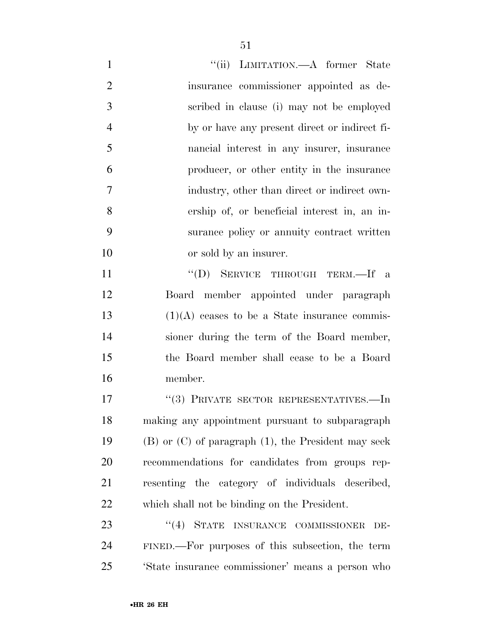| $\mathbf{1}$   | "(ii) LIMITATION.—A former State                           |
|----------------|------------------------------------------------------------|
| $\overline{2}$ | insurance commissioner appointed as de-                    |
| 3              | scribed in clause (i) may not be employed                  |
| $\overline{4}$ | by or have any present direct or indirect fi-              |
| 5              | nancial interest in any insurer, insurance                 |
| 6              | producer, or other entity in the insurance                 |
| 7              | industry, other than direct or indirect own-               |
| 8              | ership of, or beneficial interest in, an in-               |
| 9              | surance policy or annuity contract written                 |
| 10             | or sold by an insurer.                                     |
| 11             | "(D) SERVICE THROUGH TERM.—If a                            |
| 12             | Board member appointed under paragraph                     |
| 13             | $(1)(A)$ ceases to be a State insurance commis-            |
| 14             | sioner during the term of the Board member,                |
| 15             | the Board member shall cease to be a Board                 |
| 16             | member.                                                    |
| 17             | "(3) PRIVATE SECTOR REPRESENTATIVES.—In                    |
| 18             | making any appointment pursuant to subparagraph            |
| 19             | $(B)$ or $(C)$ of paragraph $(1)$ , the President may seek |
| 20             | recommendations for candidates from groups rep-            |
| 21             | resenting the category of individuals described,           |
| 22             | which shall not be binding on the President.               |
| 23             | $\lq(4)$ STATE<br>INSURANCE COMMISSIONER<br>DE-            |
| 24             | FINED.—For purposes of this subsection, the term           |
| 25             | 'State insurance commissioner' means a person who          |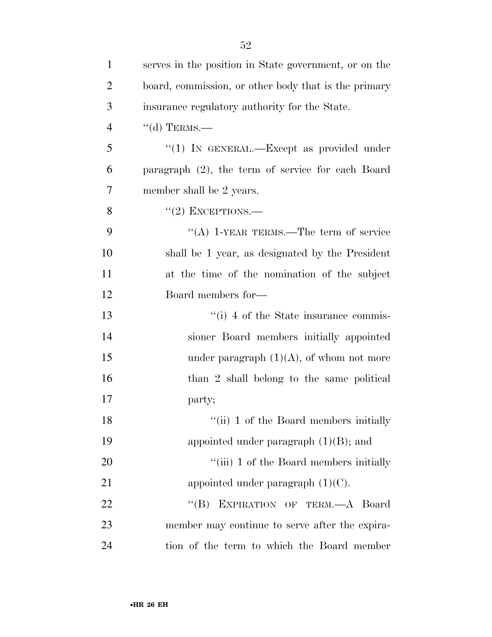| $\mathbf{1}$   | serves in the position in State government, or on the |
|----------------|-------------------------------------------------------|
| $\overline{2}$ | board, commission, or other body that is the primary  |
| 3              | insurance regulatory authority for the State.         |
| $\overline{4}$ | $``$ (d) TERMS.—                                      |
| 5              | "(1) IN GENERAL.—Except as provided under             |
| 6              | paragraph $(2)$ , the term of service for each Board  |
| 7              | member shall be 2 years.                              |
| 8              | $``(2)$ EXCEPTIONS.—                                  |
| 9              | "(A) 1-YEAR TERMS.—The term of service                |
| 10             | shall be 1 year, as designated by the President       |
| 11             | at the time of the nomination of the subject          |
| 12             | Board members for—                                    |
| 13             | $\lq\lq(i)$ 4 of the State insurance commis-          |
| 14             | sioner Board members initially appointed              |
| 15             | under paragraph $(1)(A)$ , of whom not more           |
| 16             | than 2 shall belong to the same political             |
| 17             | party;                                                |
| 18             | "(ii) 1 of the Board members initially                |
| 19             | appointed under paragraph $(1)(B)$ ; and              |
| 20             | "(iii) 1 of the Board members initially               |
| 21             | appointed under paragraph $(1)(C)$ .                  |
| 22             | EXPIRATION OF TERM.-A Board<br>$\lq\lq (B)$           |
| 23             | member may continue to serve after the expira-        |
| 24             | tion of the term to which the Board member            |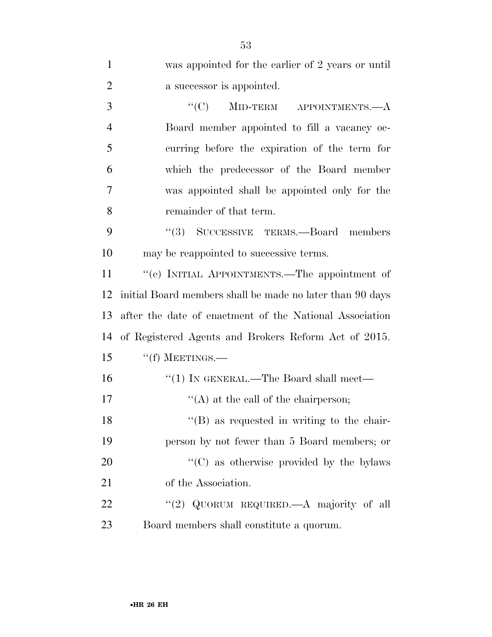| $\mathbf{1}$   | was appointed for the earlier of 2 years or until         |
|----------------|-----------------------------------------------------------|
| $\overline{2}$ | a successor is appointed.                                 |
| 3              | "(C) MID-TERM APPOINTMENTS.— $A$                          |
| $\overline{4}$ | Board member appointed to fill a vacancy oc-              |
| 5              | curring before the expiration of the term for             |
| 6              | which the predecessor of the Board member                 |
| 7              | was appointed shall be appointed only for the             |
| 8              | remainder of that term.                                   |
| 9              | "(3) SUCCESSIVE TERMS.—Board members                      |
| 10             | may be reappointed to successive terms.                   |
| 11             | "(e) INITIAL APPOINTMENTS.—The appointment of             |
| 12             | initial Board members shall be made no later than 90 days |
| 13             | after the date of enactment of the National Association   |
| 14             | of Registered Agents and Brokers Reform Act of 2015.      |
| 15             | $``(f)$ MEETINGS.—                                        |
| 16             | "(1) IN GENERAL.—The Board shall meet—                    |
| 17             | $\lq\lq$ at the call of the chairperson;                  |
| 18             | $\lq\lq$ (B) as requested in writing to the chair-        |
| 19             | person by not fewer than 5 Board members; or              |
| 20             | "(C) as otherwise provided by the bylaws                  |
| 21             | of the Association.                                       |
| 22             | "(2) QUORUM REQUIRED.—A majority of all                   |
| 23             | Board members shall constitute a quorum.                  |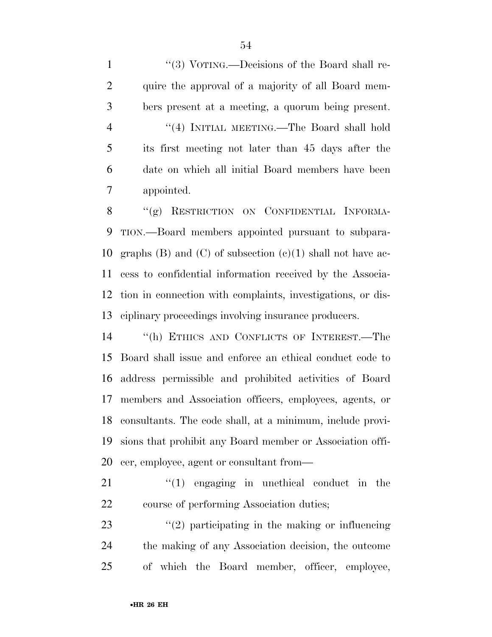1 "(3) VOTING.—Decisions of the Board shall re- quire the approval of a majority of all Board mem- bers present at a meeting, a quorum being present. ''(4) INITIAL MEETING.—The Board shall hold its first meeting not later than 45 days after the date on which all initial Board members have been appointed.

8 "(g) RESTRICTION ON CONFIDENTIAL INFORMA- TION.—Board members appointed pursuant to subpara-10 graphs (B) and (C) of subsection  $(e)(1)$  shall not have ac- cess to confidential information received by the Associa- tion in connection with complaints, investigations, or dis-ciplinary proceedings involving insurance producers.

 ''(h) ETHICS AND CONFLICTS OF INTEREST.—The Board shall issue and enforce an ethical conduct code to address permissible and prohibited activities of Board members and Association officers, employees, agents, or consultants. The code shall, at a minimum, include provi- sions that prohibit any Board member or Association offi-cer, employee, agent or consultant from—

21 ''(1) engaging in unethical conduct in the course of performing Association duties;

23  $(2)$  participating in the making or influencing the making of any Association decision, the outcome of which the Board member, officer, employee,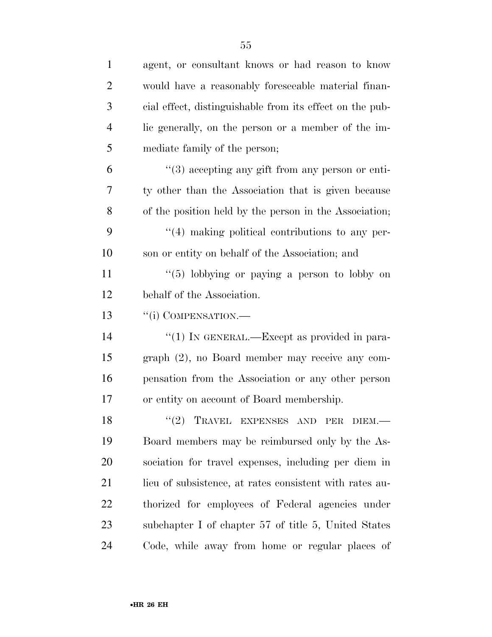| $\mathbf{1}$   | agent, or consultant knows or had reason to know                 |
|----------------|------------------------------------------------------------------|
| $\overline{2}$ | would have a reasonably foreseeable material finan-              |
| 3              | cial effect, distinguishable from its effect on the pub-         |
| $\overline{4}$ | lic generally, on the person or a member of the im-              |
| 5              | mediate family of the person;                                    |
| 6              | $\cdot\cdot\cdot(3)$ accepting any gift from any person or enti- |
| 7              | ty other than the Association that is given because              |
| 8              | of the position held by the person in the Association;           |
| 9              | $\lq(4)$ making political contributions to any per-              |
| 10             | son or entity on behalf of the Association; and                  |
| 11             | $\lq(5)$ lobbying or paying a person to lobby on                 |
| 12             | behalf of the Association.                                       |
| 13             | "(i) COMPENSATION.-                                              |
| 14             | "(1) IN GENERAL.—Except as provided in para-                     |
| 15             | graph (2), no Board member may receive any com-                  |
| 16             | pensation from the Association or any other person               |
| 17             | or entity on account of Board membership.                        |
| 18             | "(2) TRAVEL EXPENSES AND PER DIEM.                               |
| 19             | Board members may be reimbursed only by the As-                  |
| 20             | sociation for travel expenses, including per diem in             |
| 21             | lieu of subsistence, at rates consistent with rates au-          |
| 22             | thorized for employees of Federal agencies under                 |
| 23             | subchapter I of chapter 57 of title 5, United States             |
| 24             | Code, while away from home or regular places of                  |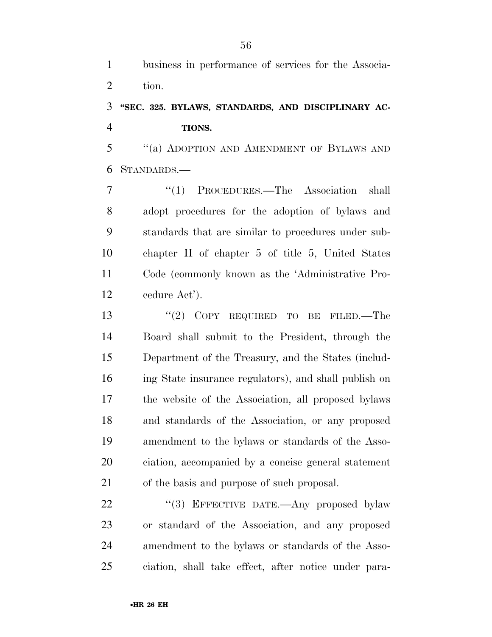business in performance of services for the Associa-tion.

## **''SEC. 325. BYLAWS, STANDARDS, AND DISCIPLINARY AC-TIONS.**

 ''(a) ADOPTION AND AMENDMENT OF BYLAWS AND STANDARDS.—

 ''(1) PROCEDURES.—The Association shall adopt procedures for the adoption of bylaws and standards that are similar to procedures under sub- chapter II of chapter 5 of title 5, United States Code (commonly known as the 'Administrative Pro-cedure Act').

13 "(2) COPY REQUIRED TO BE FILED.—The Board shall submit to the President, through the Department of the Treasury, and the States (includ- ing State insurance regulators), and shall publish on the website of the Association, all proposed bylaws and standards of the Association, or any proposed amendment to the bylaws or standards of the Asso- ciation, accompanied by a concise general statement of the basis and purpose of such proposal.

22 "(3) EFFECTIVE DATE.—Any proposed bylaw or standard of the Association, and any proposed amendment to the bylaws or standards of the Asso-ciation, shall take effect, after notice under para-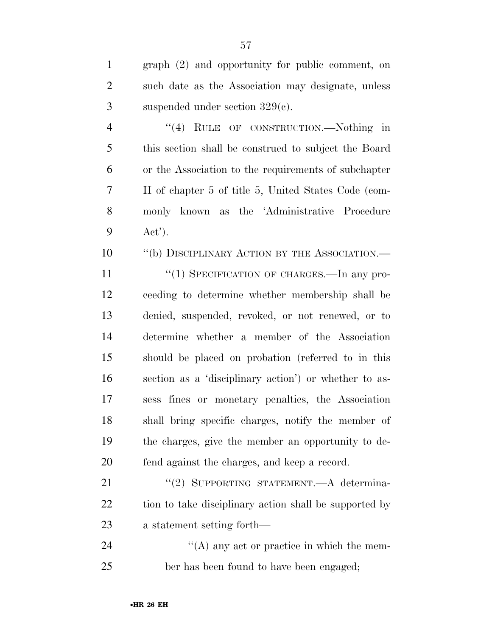| $\mathbf{1}$ | $graph (2)$ and opportunity for public comment, on   |
|--------------|------------------------------------------------------|
| 2            | such date as the Association may designate, unless   |
| 3            | suspended under section $329(c)$ .                   |
| 4            | RULE OF CONSTRUCTION.—Nothing in<br>$\cdot$ (4)      |
| 5            | this section shall be construed to subject the Board |
| 6            | or the Association to the requirements of subchapter |
|              | II of chapter 5 of title 5, United States Code (com- |

 monly known as the 'Administrative Procedure Act').

10 "(b) DISCIPLINARY ACTION BY THE ASSOCIATION.—

11 "(1) SPECIFICATION OF CHARGES.—In any pro- ceeding to determine whether membership shall be denied, suspended, revoked, or not renewed, or to determine whether a member of the Association should be placed on probation (referred to in this section as a 'disciplinary action') or whether to as- sess fines or monetary penalties, the Association shall bring specific charges, notify the member of the charges, give the member an opportunity to de-fend against the charges, and keep a record.

21 "(2) SUPPORTING STATEMENT.—A determina-22 tion to take disciplinary action shall be supported by a statement setting forth—

24  $\langle (A)$  any act or practice in which the mem-ber has been found to have been engaged;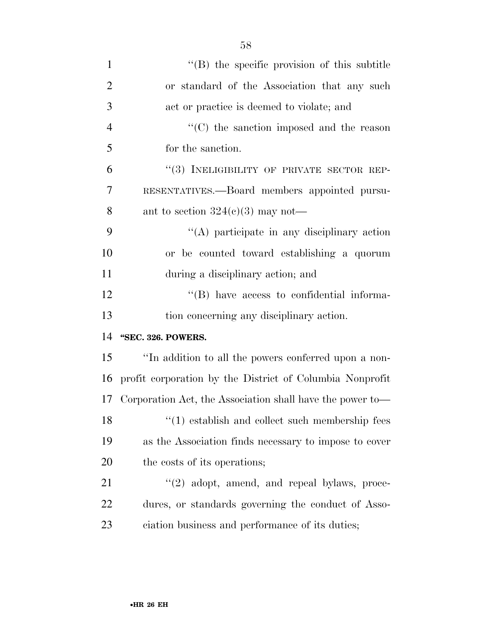| $\mathbf{1}$   | "(B) the specific provision of this subtitle                  |
|----------------|---------------------------------------------------------------|
| $\overline{2}$ | or standard of the Association that any such                  |
| 3              | act or practice is deemed to violate; and                     |
| $\overline{4}$ | $\lq\lq$ <sup>*</sup> (C) the sanction imposed and the reason |
| 5              | for the sanction.                                             |
| 6              | "(3) INELIGIBILITY OF PRIVATE SECTOR REP-                     |
| $\overline{7}$ | RESENTATIVES.—Board members appointed pursu-                  |
| 8              | ant to section $324(c)(3)$ may not—                           |
| 9              | $\lq\lq$ participate in any disciplinary action               |
| 10             | or be counted toward establishing a quorum                    |
| 11             | during a disciplinary action; and                             |
| 12             | "(B) have access to confidential informa-                     |
| 13             | tion concerning any disciplinary action.                      |
| 14             | "SEC. 326. POWERS.                                            |
| 15             | "In addition to all the powers conferred upon a non-          |
| 16             | profit corporation by the District of Columbia Nonprofit      |
| 17             | Corporation Act, the Association shall have the power to-     |
| 18             | $\lq(1)$ establish and collect such membership fees           |
| 19             | as the Association finds necessary to impose to cover         |
| 20             | the costs of its operations;                                  |
| 21             | $\lq(2)$ adopt, amend, and repeal bylaws, proce-              |
| 22             | dures, or standards governing the conduct of Asso-            |
| 23             | ciation business and performance of its duties;               |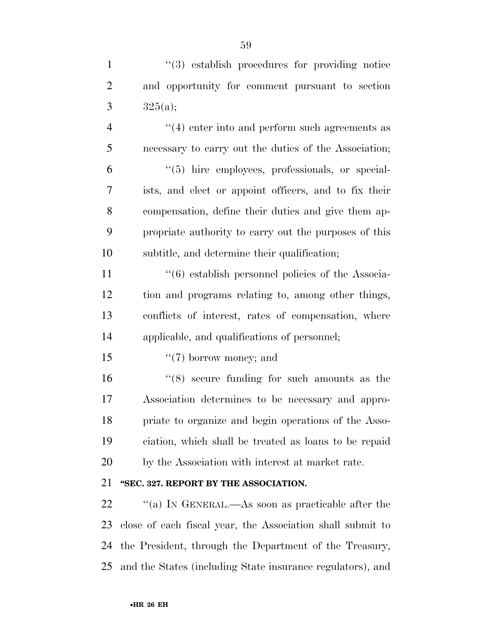1  $\frac{1}{2}$   $\frac{1}{3}$  establish procedures for providing notice and opportunity for comment pursuant to section 3  $325(a);$ 

 $(4)$  enter into and perform such agreements as necessary to carry out the duties of the Association; ''(5) hire employees, professionals, or special- ists, and elect or appoint officers, and to fix their compensation, define their duties and give them ap- propriate authority to carry out the purposes of this subtitle, and determine their qualification;

 ''(6) establish personnel policies of the Associa- tion and programs relating to, among other things, conflicts of interest, rates of compensation, where applicable, and qualifications of personnel;

15  $\frac{15}{2}$   $\frac{15}{2}$  borrow money; and

 ''(8) secure funding for such amounts as the Association determines to be necessary and appro- priate to organize and begin operations of the Asso- ciation, which shall be treated as loans to be repaid by the Association with interest at market rate.

### **''SEC. 327. REPORT BY THE ASSOCIATION.**

 $\cdot$  "(a) In GENERAL.—As soon as practicable after the close of each fiscal year, the Association shall submit to the President, through the Department of the Treasury, and the States (including State insurance regulators), and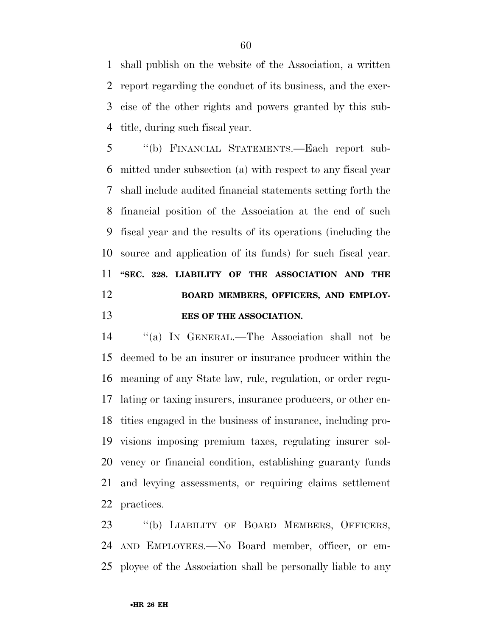shall publish on the website of the Association, a written report regarding the conduct of its business, and the exer- cise of the other rights and powers granted by this sub-title, during such fiscal year.

 ''(b) FINANCIAL STATEMENTS.—Each report sub- mitted under subsection (a) with respect to any fiscal year shall include audited financial statements setting forth the financial position of the Association at the end of such fiscal year and the results of its operations (including the source and application of its funds) for such fiscal year. **''SEC. 328. LIABILITY OF THE ASSOCIATION AND THE BOARD MEMBERS, OFFICERS, AND EMPLOY-EES OF THE ASSOCIATION.** 

 ''(a) IN GENERAL.—The Association shall not be deemed to be an insurer or insurance producer within the meaning of any State law, rule, regulation, or order regu- lating or taxing insurers, insurance producers, or other en- tities engaged in the business of insurance, including pro- visions imposing premium taxes, regulating insurer sol- vency or financial condition, establishing guaranty funds and levying assessments, or requiring claims settlement practices.

 ''(b) LIABILITY OF BOARD MEMBERS, OFFICERS, AND EMPLOYEES.—No Board member, officer, or em-ployee of the Association shall be personally liable to any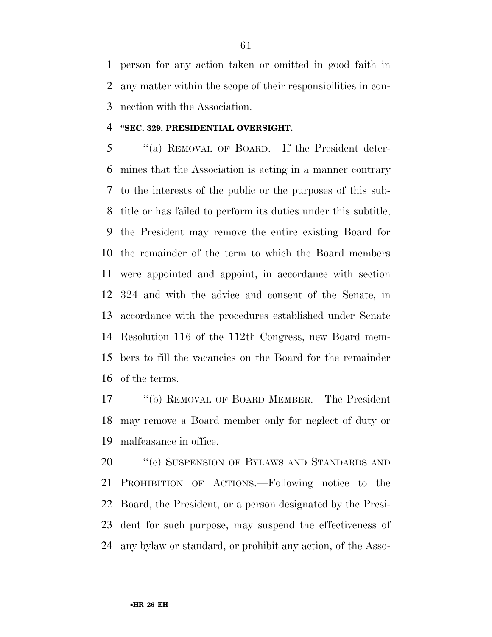person for any action taken or omitted in good faith in any matter within the scope of their responsibilities in con-nection with the Association.

#### **''SEC. 329. PRESIDENTIAL OVERSIGHT.**

 ''(a) REMOVAL OF BOARD.—If the President deter- mines that the Association is acting in a manner contrary to the interests of the public or the purposes of this sub- title or has failed to perform its duties under this subtitle, the President may remove the entire existing Board for the remainder of the term to which the Board members were appointed and appoint, in accordance with section 324 and with the advice and consent of the Senate, in accordance with the procedures established under Senate Resolution 116 of the 112th Congress, new Board mem- bers to fill the vacancies on the Board for the remainder of the terms.

 ''(b) REMOVAL OF BOARD MEMBER.—The President may remove a Board member only for neglect of duty or malfeasance in office.

20 <sup>''</sup>(c) SUSPENSION OF BYLAWS AND STANDARDS AND PROHIBITION OF ACTIONS.—Following notice to the Board, the President, or a person designated by the Presi- dent for such purpose, may suspend the effectiveness of any bylaw or standard, or prohibit any action, of the Asso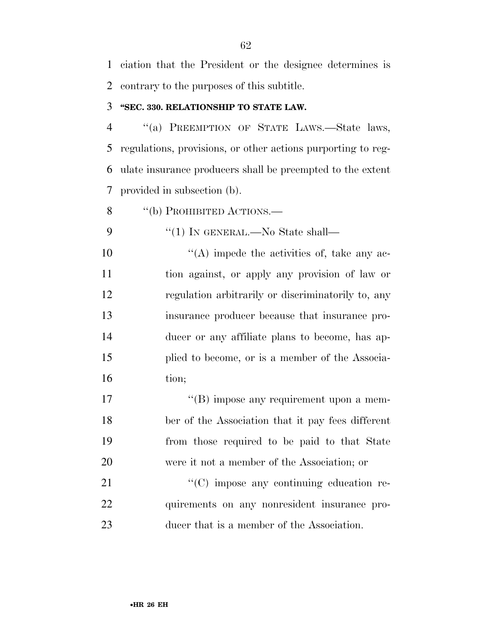ciation that the President or the designee determines is contrary to the purposes of this subtitle.

#### **''SEC. 330. RELATIONSHIP TO STATE LAW.**

 ''(a) PREEMPTION OF STATE LAWS.—State laws, regulations, provisions, or other actions purporting to reg- ulate insurance producers shall be preempted to the extent provided in subsection (b).

8 "(b) PROHIBITED ACTIONS.—

9  $\frac{4}{1}$  In GENERAL.—No State shall—

 $\langle (A) \rangle$  impede the activities of, take any ac- tion against, or apply any provision of law or regulation arbitrarily or discriminatorily to, any insurance producer because that insurance pro- ducer or any affiliate plans to become, has ap- plied to become, or is a member of the Associa-16 tion;

17 ''(B) impose any requirement upon a mem- ber of the Association that it pay fees different from those required to be paid to that State were it not a member of the Association; or

21  $\cdot$  (C) impose any continuing education re- quirements on any nonresident insurance pro-ducer that is a member of the Association.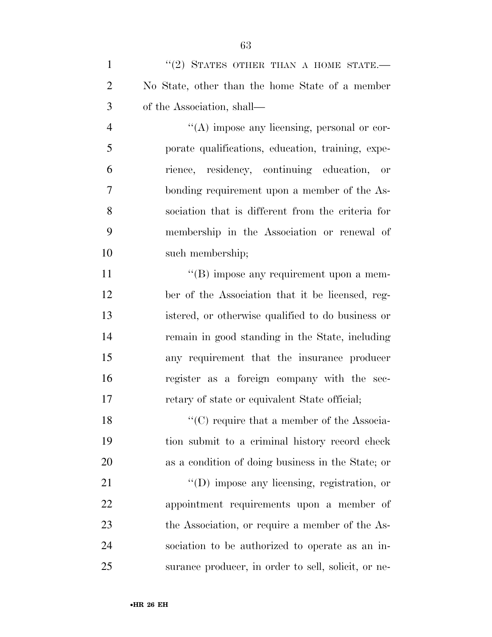| $\mathbf{1}$   | $``(2)$ STATES OTHER THAN A HOME STATE.             |
|----------------|-----------------------------------------------------|
| $\overline{2}$ | No State, other than the home State of a member     |
| 3              | of the Association, shall—                          |
| $\overline{4}$ | $\lq\lq$ impose any licensing, personal or cor-     |
| 5              | porate qualifications, education, training, expe-   |
| 6              | rience, residency, continuing education, or         |
| 7              | bonding requirement upon a member of the As-        |
| 8              | sociation that is different from the criteria for   |
| 9              | membership in the Association or renewal of         |
| 10             | such membership;                                    |
| 11             | $\lq\lq (B)$ impose any requirement upon a mem-     |
| 12             | ber of the Association that it be licensed, reg-    |
| 13             | istered, or otherwise qualified to do business or   |
| 14             | remain in good standing in the State, including     |
| 15             | any requirement that the insurance producer         |
| 16             | register as a foreign company with the sec-         |
| 17             | retary of state or equivalent State official;       |
| 18             | " $(C)$ require that a member of the Associa-       |
| 19             | tion submit to a criminal history record check      |
| 20             | as a condition of doing business in the State; or   |
| 21             | $\lq\lq$ (D) impose any licensing, registration, or |
| 22             | appointment requirements upon a member of           |
| 23             | the Association, or require a member of the As-     |
| 24             | sociation to be authorized to operate as an in-     |
| 25             | surance producer, in order to sell, solicit, or ne- |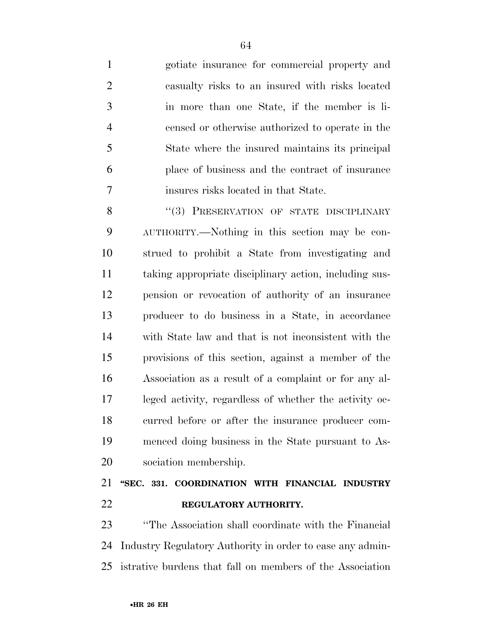gotiate insurance for commercial property and casualty risks to an insured with risks located in more than one State, if the member is li- censed or otherwise authorized to operate in the State where the insured maintains its principal place of business and the contract of insurance insures risks located in that State.

8 "(3) PRESERVATION OF STATE DISCIPLINARY AUTHORITY.—Nothing in this section may be con- strued to prohibit a State from investigating and taking appropriate disciplinary action, including sus- pension or revocation of authority of an insurance producer to do business in a State, in accordance with State law and that is not inconsistent with the provisions of this section, against a member of the Association as a result of a complaint or for any al- leged activity, regardless of whether the activity oc- curred before or after the insurance producer com- menced doing business in the State pursuant to As-sociation membership.

# **''SEC. 331. COORDINATION WITH FINANCIAL INDUSTRY REGULATORY AUTHORITY.**

 ''The Association shall coordinate with the Financial Industry Regulatory Authority in order to ease any admin-istrative burdens that fall on members of the Association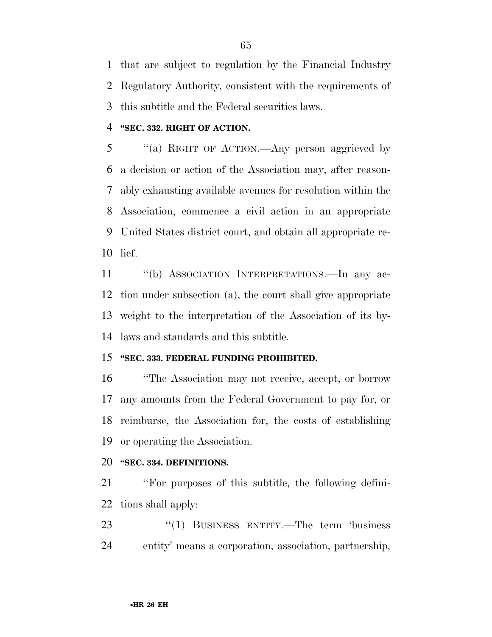that are subject to regulation by the Financial Industry Regulatory Authority, consistent with the requirements of this subtitle and the Federal securities laws.

#### **''SEC. 332. RIGHT OF ACTION.**

 ''(a) RIGHT OF ACTION.—Any person aggrieved by a decision or action of the Association may, after reason- ably exhausting available avenues for resolution within the Association, commence a civil action in an appropriate United States district court, and obtain all appropriate re-lief.

 ''(b) ASSOCIATION INTERPRETATIONS.—In any ac- tion under subsection (a), the court shall give appropriate weight to the interpretation of the Association of its by-laws and standards and this subtitle.

#### **''SEC. 333. FEDERAL FUNDING PROHIBITED.**

 ''The Association may not receive, accept, or borrow any amounts from the Federal Government to pay for, or reimburse, the Association for, the costs of establishing or operating the Association.

#### **''SEC. 334. DEFINITIONS.**

 ''For purposes of this subtitle, the following defini-tions shall apply:

23 "(1) BUSINESS ENTITY.—The term 'business entity' means a corporation, association, partnership,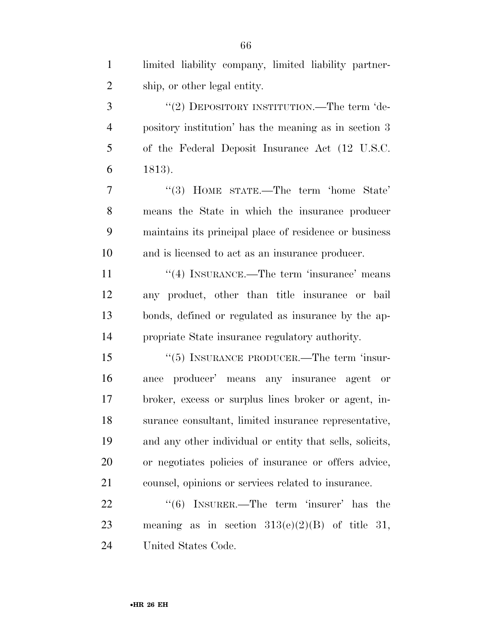| $\mathbf{1}$   | limited liability company, limited liability partner-    |
|----------------|----------------------------------------------------------|
| $\overline{2}$ | ship, or other legal entity.                             |
| 3              | "(2) DEPOSITORY INSTITUTION.—The term 'de-               |
| 4              | pository institution' has the meaning as in section 3    |
| 5              | of the Federal Deposit Insurance Act (12 U.S.C.          |
| 6              | 1813).                                                   |
| 7              | $\cdot$ (3) HOME STATE.—The term 'home State'            |
| 8              | means the State in which the insurance producer          |
| 9              | maintains its principal place of residence or business   |
| 10             | and is licensed to act as an insurance producer.         |
| 11             | $\cdot$ (4) INSURANCE.—The term 'insurance' means        |
| 12             | any product, other than title insurance or bail          |
| 13             | bonds, defined or regulated as insurance by the ap-      |
| 14             | propriate State insurance regulatory authority.          |
| 15             | $\cdot\cdot$ (5) INSURANCE PRODUCER.—The term 'insur-    |
| 16             | producer' means any insurance agent or<br>ance           |
| 17             | broker, excess or surplus lines broker or agent, in-     |
| 18             | surance consultant, limited insurance representative,    |
| 19             | and any other individual or entity that sells, solicits, |
| 20             | or negotiates policies of insurance or offers advice,    |
| 21             | counsel, opinions or services related to insurance.      |
| 22             | $\cdot\cdot$ (6) INSURER.—The term 'insurer' has the     |
| 23             | meaning as in section $313(e)(2)(B)$ of title 31,        |
| 24             | United States Code.                                      |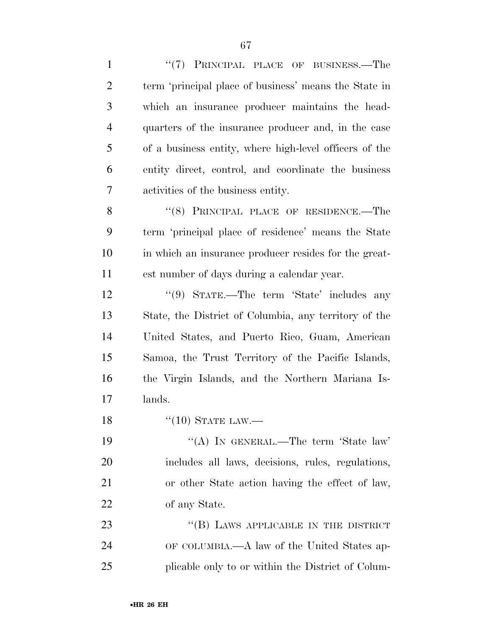| $\mathbf{1}$   | "(7) PRINCIPAL PLACE OF BUSINESS.—The                  |
|----------------|--------------------------------------------------------|
| $\overline{2}$ | term 'principal place of business' means the State in  |
| 3              | which an insurance producer maintains the head-        |
| $\overline{4}$ | quarters of the insurance producer and, in the case    |
| 5              | of a business entity, where high-level officers of the |
| 6              | entity direct, control, and coordinate the business    |
| 7              | activities of the business entity.                     |
| 8              | "(8) PRINCIPAL PLACE OF RESIDENCE.—The                 |
| 9              | term 'principal place of residence' means the State    |
| 10             | in which an insurance producer resides for the great-  |
| 11             | est number of days during a calendar year.             |
| 12             | "(9) STATE.—The term 'State' includes any              |
| 13             | State, the District of Columbia, any territory of the  |
| 14             | United States, and Puerto Rico, Guam, American         |
| 15             | Samoa, the Trust Territory of the Pacific Islands,     |
| 16             | the Virgin Islands, and the Northern Mariana Is-       |
| 17             | lands.                                                 |
| 18             | $``(10)$ STATE LAW.—                                   |
| 19             | "(A) IN GENERAL.—The term 'State law'                  |
| 20             | includes all laws, decisions, rules, regulations,      |
| 21             | or other State action having the effect of law,        |
| 22             | of any State.                                          |
| 23             | "(B) LAWS APPLICABLE IN THE DISTRICT                   |
| 24             | OF COLUMBIA.—A law of the United States ap-            |
| 25             | plicable only to or within the District of Colum-      |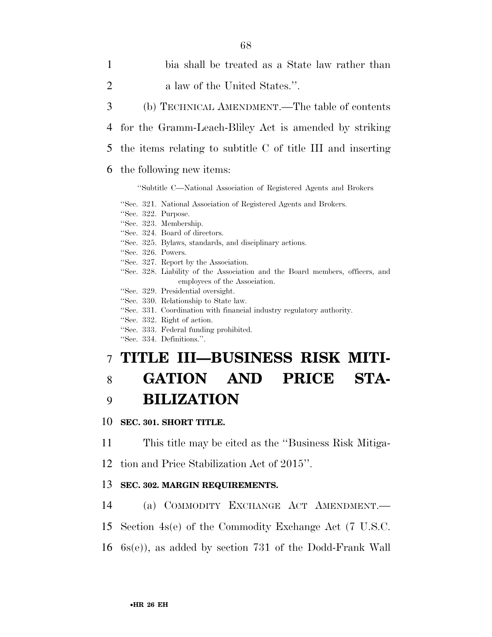- 1 bia shall be treated as a State law rather than 2 a law of the United States.".
- 3 (b) TECHNICAL AMENDMENT.—The table of contents
- 4 for the Gramm-Leach-Bliley Act is amended by striking
- 5 the items relating to subtitle C of title III and inserting

### 6 the following new items:

#### ''Subtitle C—National Association of Registered Agents and Brokers

''Sec. 321. National Association of Registered Agents and Brokers. ''Sec. 322. Purpose. ''Sec. 323. Membership. ''Sec. 324. Board of directors. ''Sec. 325. Bylaws, standards, and disciplinary actions. ''Sec. 326. Powers. ''Sec. 327. Report by the Association. ''Sec. 328. Liability of the Association and the Board members, officers, and employees of the Association. ''Sec. 329. Presidential oversight. ''Sec. 330. Relationship to State law. ''Sec. 331. Coordination with financial industry regulatory authority.

- 
- ''Sec. 332. Right of action.
- ''Sec. 333. Federal funding prohibited.
- ''Sec. 334. Definitions.''.

## 7 **TITLE III—BUSINESS RISK MITI-**

# 8 **GATION AND PRICE STA-**9 **BILIZATION**

## 10 **SEC. 301. SHORT TITLE.**

11 This title may be cited as the ''Business Risk Mitiga-

12 tion and Price Stabilization Act of 2015''.

## 13 **SEC. 302. MARGIN REQUIREMENTS.**

- 14 (a) COMMODITY EXCHANGE ACT AMENDMENT.—
- 15 Section 4s(e) of the Commodity Exchange Act (7 U.S.C.
- 16 6s(e)), as added by section 731 of the Dodd-Frank Wall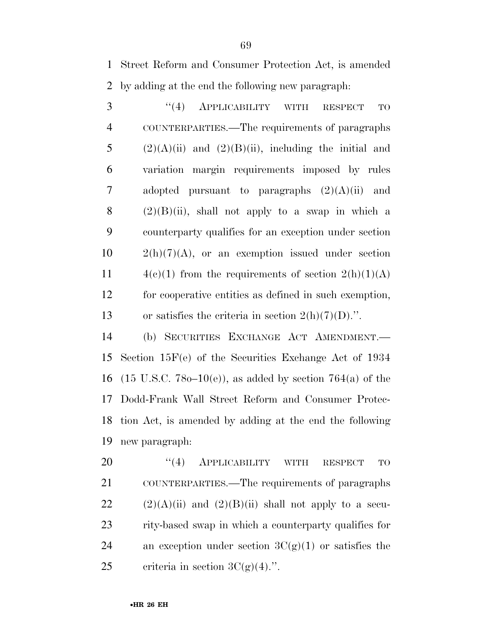1 Street Reform and Consumer Protection Act, is amended 2 by adding at the end the following new paragraph:

3 "(4) APPLICABILITY WITH RESPECT TO COUNTERPARTIES.—The requirements of paragraphs 5 (2)(A)(ii) and (2)(B)(ii), including the initial and variation margin requirements imposed by rules adopted pursuant to paragraphs (2)(A)(ii) and  $(2)(B)(ii)$ , shall not apply to a swap in which a counterparty qualifies for an exception under section  $10 \qquad 2(h)(7)(A)$ , or an exemption issued under section  $4(c)(1)$  from the requirements of section  $2(h)(1)(A)$  for cooperative entities as defined in such exemption, 13 or satisfies the criteria in section  $2(h)(7)(D)$ .".

 (b) SECURITIES EXCHANGE ACT AMENDMENT.— Section 15F(e) of the Securities Exchange Act of 1934 16 (15 U.S.C. 78 $o-10(e)$ ), as added by section 764(a) of the Dodd-Frank Wall Street Reform and Consumer Protec- tion Act, is amended by adding at the end the following new paragraph:

20 "(4) APPLICABILITY WITH RESPECT TO 21 COUNTERPARTIES.—The requirements of paragraphs 22  $(2)(A)(ii)$  and  $(2)(B)(ii)$  shall not apply to a secu-23 rity-based swap in which a counterparty qualifies for 24 an exception under section  $3C(g)(1)$  or satisfies the 25 criteria in section  $3C(g)(4)$ .".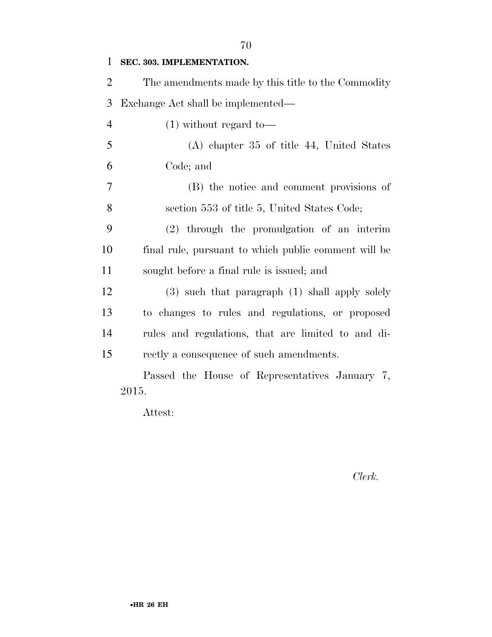| $\mathbf{1}$   | SEC. 303. IMPLEMENTATION.                            |
|----------------|------------------------------------------------------|
| $\overline{2}$ | The amendments made by this title to the Commodity   |
| 3              | Exchange Act shall be implemented—                   |
| $\overline{4}$ | $(1)$ without regard to-                             |
| 5              | $(A)$ chapter 35 of title 44, United States          |
| 6              | Code; and                                            |
| 7              | (B) the notice and comment provisions of             |
| 8              | section 553 of title 5, United States Code;          |
| 9              | (2) through the promulgation of an interim           |
| 10             | final rule, pursuant to which public comment will be |
| 11             | sought before a final rule is issued; and            |
| 12             | (3) such that paragraph (1) shall apply solely       |
| 13             | to changes to rules and regulations, or proposed     |
| 14             | rules and regulations, that are limited to and di-   |
| 15             | rectly a consequence of such amendments.             |
|                | Passed the House of Representatives January 7,       |
|                | 2015.                                                |

Attest:

*Clerk.*